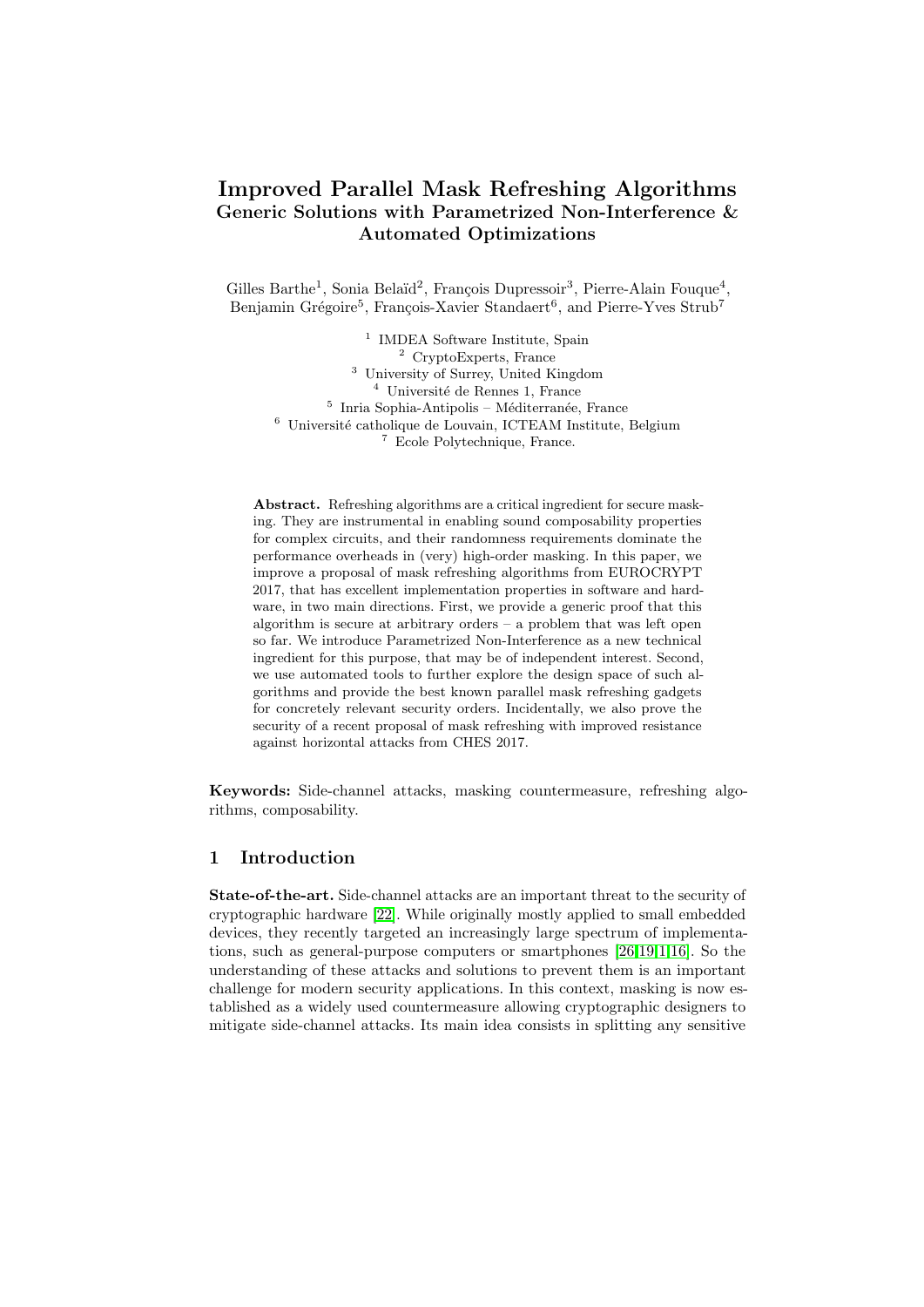# Improved Parallel Mask Refreshing Algorithms Generic Solutions with Parametrized Non-Interference & Automated Optimizations

Gilles Barthe<sup>1</sup>, Sonia Belaïd<sup>2</sup>, François Dupressoir<sup>3</sup>, Pierre-Alain Fouque<sup>4</sup>, Benjamin Grégoire<sup>5</sup>, François-Xavier Standaert<sup>6</sup>, and Pierre-Yves Strub<sup>7</sup>

<sup>1</sup> IMDEA Software Institute, Spain <sup>2</sup> CryptoExperts, France <sup>3</sup> University of Surrey, United Kingdom  $4$  Université de Rennes 1, France <sup>5</sup> Inria Sophia-Antipolis – Méditerranée, France  $^6$ Université catholique de Louvain, ICTEAM Institute, Belgium <sup>7</sup> Ecole Polytechnique, France.

Abstract. Refreshing algorithms are a critical ingredient for secure masking. They are instrumental in enabling sound composability properties for complex circuits, and their randomness requirements dominate the performance overheads in (very) high-order masking. In this paper, we improve a proposal of mask refreshing algorithms from EUROCRYPT 2017, that has excellent implementation properties in software and hardware, in two main directions. First, we provide a generic proof that this algorithm is secure at arbitrary orders – a problem that was left open so far. We introduce Parametrized Non-Interference as a new technical ingredient for this purpose, that may be of independent interest. Second, we use automated tools to further explore the design space of such algorithms and provide the best known parallel mask refreshing gadgets for concretely relevant security orders. Incidentally, we also prove the security of a recent proposal of mask refreshing with improved resistance against horizontal attacks from CHES 2017.

Keywords: Side-channel attacks, masking countermeasure, refreshing algorithms, composability.

## 1 Introduction

State-of-the-art. Side-channel attacks are an important threat to the security of cryptographic hardware [\[22\]](#page-18-0). While originally mostly applied to small embedded devices, they recently targeted an increasingly large spectrum of implementations, such as general-purpose computers or smartphones [\[26,](#page-18-1)[19](#page-18-2)[,1](#page-17-0)[,16\]](#page-18-3). So the understanding of these attacks and solutions to prevent them is an important challenge for modern security applications. In this context, masking is now established as a widely used countermeasure allowing cryptographic designers to mitigate side-channel attacks. Its main idea consists in splitting any sensitive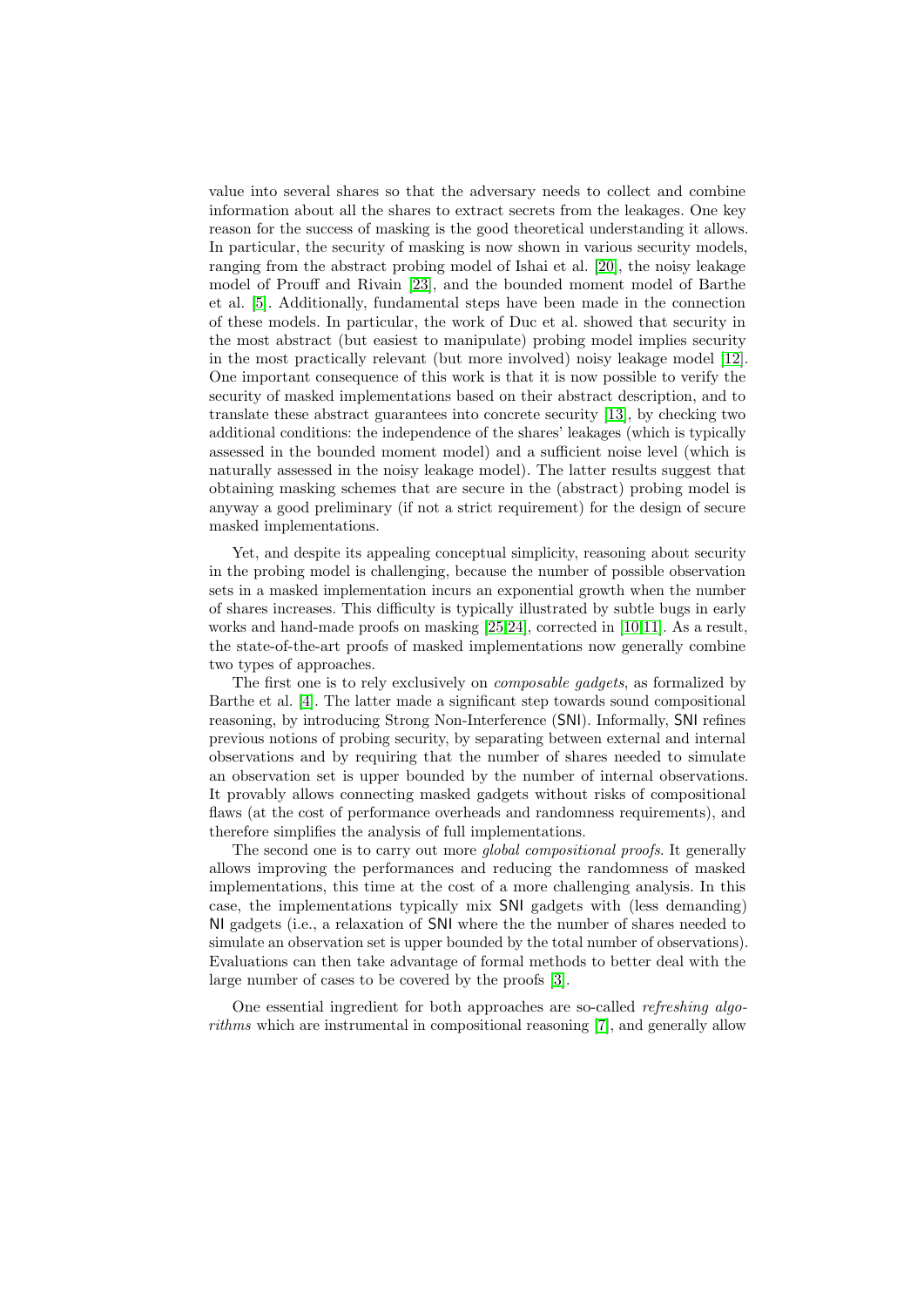value into several shares so that the adversary needs to collect and combine information about all the shares to extract secrets from the leakages. One key reason for the success of masking is the good theoretical understanding it allows. In particular, the security of masking is now shown in various security models, ranging from the abstract probing model of Ishai et al. [\[20\]](#page-18-4), the noisy leakage model of Prouff and Rivain [\[23\]](#page-18-5), and the bounded moment model of Barthe et al. [\[5\]](#page-17-1). Additionally, fundamental steps have been made in the connection of these models. In particular, the work of Duc et al. showed that security in the most abstract (but easiest to manipulate) probing model implies security in the most practically relevant (but more involved) noisy leakage model [\[12\]](#page-17-2). One important consequence of this work is that it is now possible to verify the security of masked implementations based on their abstract description, and to translate these abstract guarantees into concrete security [\[13\]](#page-18-6), by checking two additional conditions: the independence of the shares' leakages (which is typically assessed in the bounded moment model) and a sufficient noise level (which is naturally assessed in the noisy leakage model). The latter results suggest that obtaining masking schemes that are secure in the (abstract) probing model is anyway a good preliminary (if not a strict requirement) for the design of secure masked implementations.

Yet, and despite its appealing conceptual simplicity, reasoning about security in the probing model is challenging, because the number of possible observation sets in a masked implementation incurs an exponential growth when the number of shares increases. This difficulty is typically illustrated by subtle bugs in early works and hand-made proofs on masking [\[25,](#page-18-7)[24\]](#page-18-8), corrected in [\[10,](#page-17-3)[11\]](#page-17-4). As a result, the state-of-the-art proofs of masked implementations now generally combine two types of approaches.

The first one is to rely exclusively on composable gadgets, as formalized by Barthe et al. [\[4\]](#page-17-5). The latter made a significant step towards sound compositional reasoning, by introducing Strong Non-Interference (SNI). Informally, SNI refines previous notions of probing security, by separating between external and internal observations and by requiring that the number of shares needed to simulate an observation set is upper bounded by the number of internal observations. It provably allows connecting masked gadgets without risks of compositional flaws (at the cost of performance overheads and randomness requirements), and therefore simplifies the analysis of full implementations.

The second one is to carry out more *global compositional proofs*. It generally allows improving the performances and reducing the randomness of masked implementations, this time at the cost of a more challenging analysis. In this case, the implementations typically mix SNI gadgets with (less demanding) NI gadgets (i.e., a relaxation of SNI where the the number of shares needed to simulate an observation set is upper bounded by the total number of observations). Evaluations can then take advantage of formal methods to better deal with the large number of cases to be covered by the proofs [\[3\]](#page-17-6).

One essential ingredient for both approaches are so-called refreshing algorithms which are instrumental in compositional reasoning [\[7\]](#page-17-7), and generally allow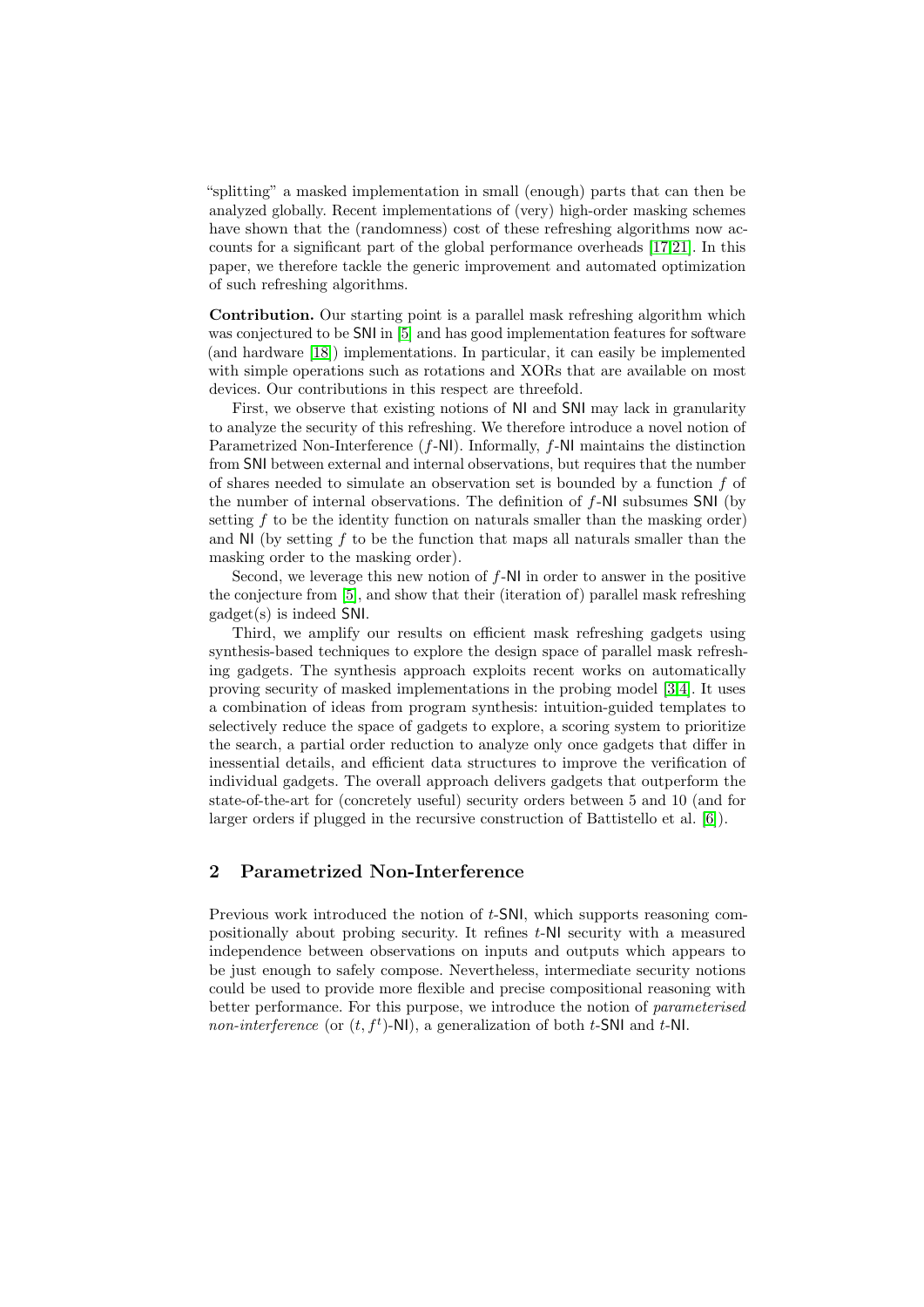"splitting" a masked implementation in small (enough) parts that can then be analyzed globally. Recent implementations of (very) high-order masking schemes have shown that the (randomness) cost of these refreshing algorithms now accounts for a significant part of the global performance overheads [\[17](#page-18-9)[,21\]](#page-18-10). In this paper, we therefore tackle the generic improvement and automated optimization of such refreshing algorithms.

Contribution. Our starting point is a parallel mask refreshing algorithm which was conjectured to be SNI in [\[5\]](#page-17-1) and has good implementation features for software (and hardware [\[18\]](#page-18-11)) implementations. In particular, it can easily be implemented with simple operations such as rotations and XORs that are available on most devices. Our contributions in this respect are threefold.

First, we observe that existing notions of NI and SNI may lack in granularity to analyze the security of this refreshing. We therefore introduce a novel notion of Parametrized Non-Interference  $(f-NI)$ . Informally,  $f-NI$  maintains the distinction from SNI between external and internal observations, but requires that the number of shares needed to simulate an observation set is bounded by a function f of the number of internal observations. The definition of f-NI subsumes SNI (by setting  $f$  to be the identity function on naturals smaller than the masking order) and NI (by setting  $f$  to be the function that maps all naturals smaller than the masking order to the masking order).

Second, we leverage this new notion of  $f$ -NI in order to answer in the positive the conjecture from [\[5\]](#page-17-1), and show that their (iteration of) parallel mask refreshing gadget(s) is indeed SNI.

Third, we amplify our results on efficient mask refreshing gadgets using synthesis-based techniques to explore the design space of parallel mask refreshing gadgets. The synthesis approach exploits recent works on automatically proving security of masked implementations in the probing model [\[3,](#page-17-6)[4\]](#page-17-5). It uses a combination of ideas from program synthesis: intuition-guided templates to selectively reduce the space of gadgets to explore, a scoring system to prioritize the search, a partial order reduction to analyze only once gadgets that differ in inessential details, and efficient data structures to improve the verification of individual gadgets. The overall approach delivers gadgets that outperform the state-of-the-art for (concretely useful) security orders between 5 and 10 (and for larger orders if plugged in the recursive construction of Battistello et al. [\[6\]](#page-17-8)).

## 2 Parametrized Non-Interference

Previous work introduced the notion of t-SNI, which supports reasoning compositionally about probing security. It refines t-NI security with a measured independence between observations on inputs and outputs which appears to be just enough to safely compose. Nevertheless, intermediate security notions could be used to provide more flexible and precise compositional reasoning with better performance. For this purpose, we introduce the notion of parameterised *non-interference* (or  $(t, f<sup>t</sup>)$ -NI), a generalization of both *t*-SNI and *t*-NI.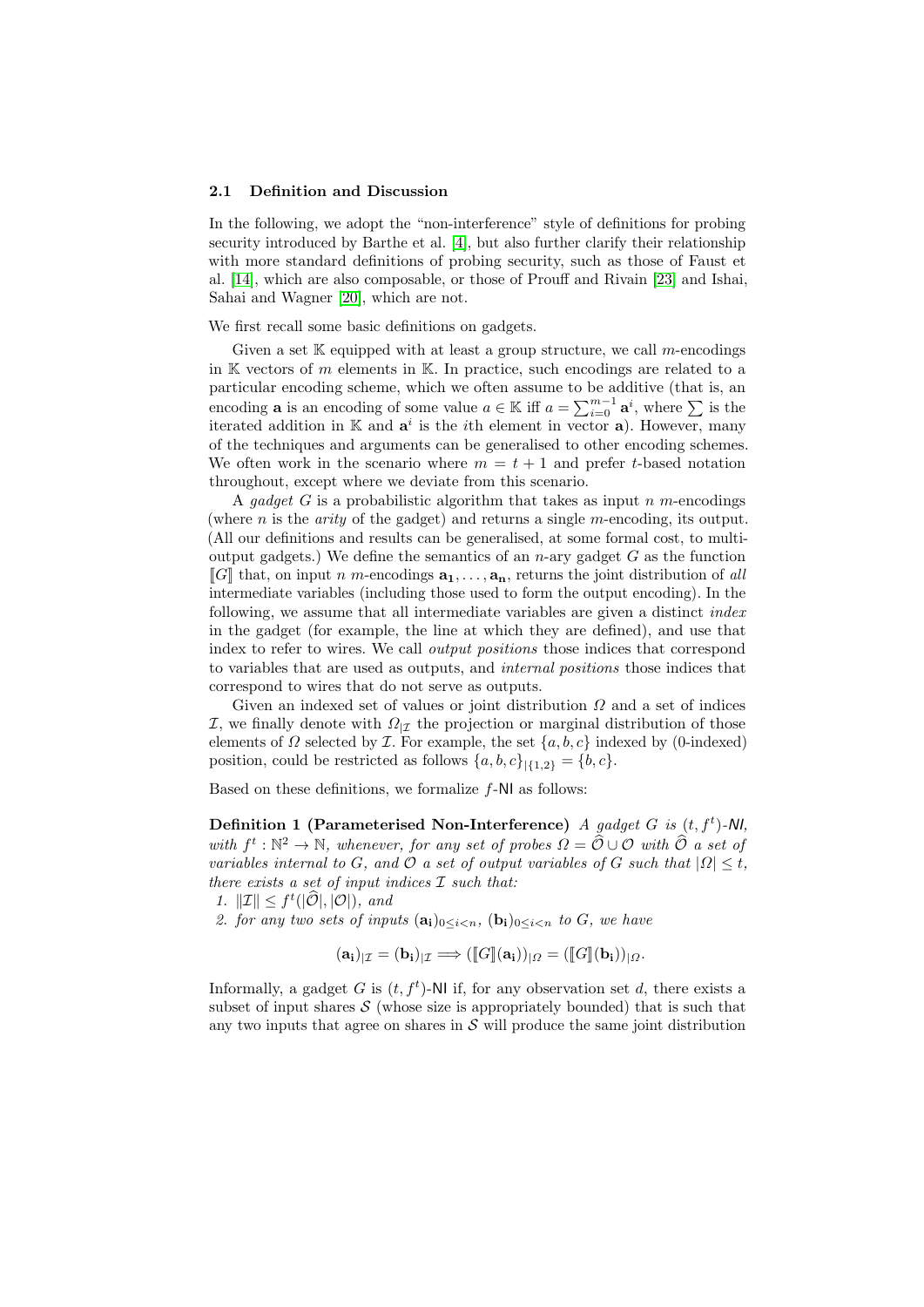#### 2.1 Definition and Discussion

In the following, we adopt the "non-interference" style of definitions for probing security introduced by Barthe et al. [\[4\]](#page-17-5), but also further clarify their relationship with more standard definitions of probing security, such as those of Faust et al. [\[14\]](#page-18-12), which are also composable, or those of Prouff and Rivain [\[23\]](#page-18-5) and Ishai, Sahai and Wagner [\[20\]](#page-18-4), which are not.

We first recall some basic definitions on gadgets.

Given a set  $K$  equipped with at least a group structure, we call m-encodings in  $K$  vectors of m elements in  $K$ . In practice, such encodings are related to a particular encoding scheme, which we often assume to be additive (that is, an encoding **a** is an encoding of some value  $a \in \mathbb{K}$  iff  $a = \sum_{i=0}^{m-1} \mathbf{a}^i$ , where  $\sum$  is the iterated addition in K and  $\mathbf{a}^i$  is the *i*th element in vector  $\mathbf{a}$ ). However, many of the techniques and arguments can be generalised to other encoding schemes. We often work in the scenario where  $m = t + 1$  and prefer t-based notation throughout, except where we deviate from this scenario.

A gadget G is a probabilistic algorithm that takes as input  $n$  m-encodings (where  $n$  is the *arity* of the gadget) and returns a single  $m$ -encoding, its output. (All our definitions and results can be generalised, at some formal cost, to multioutput gadgets.) We define the semantics of an n-ary gadget  $G$  as the function  $\llbracket G \rrbracket$  that, on input n m-encodings  $\mathbf{a}_1, \ldots, \mathbf{a}_n$ , returns the joint distribution of all intermediate variables (including those used to form the output encoding). In the following, we assume that all intermediate variables are given a distinct index in the gadget (for example, the line at which they are defined), and use that index to refer to wires. We call output positions those indices that correspond to variables that are used as outputs, and internal positions those indices that correspond to wires that do not serve as outputs.

Given an indexed set of values or joint distribution  $\Omega$  and a set of indices I, we finally denote with  $Ω_{\text{IZ}}$  the projection or marginal distribution of those elements of  $\Omega$  selected by  $\mathcal{I}$ . For example, the set  $\{a, b, c\}$  indexed by (0-indexed) position, could be restricted as follows  $\{a, b, c\}_{\{1,2,3\}} = \{b, c\}.$ 

Based on these definitions, we formalize  $f$ -NI as follows:

Definition 1 (Parameterised Non-Interference) A gadget G is  $(t, f<sup>t</sup>)$ -NI, with  $f^t : \mathbb{N}^2 \to \mathbb{N}$ , whenever, for any set of probes  $\Omega = \widehat{\mathcal{O}} \cup \mathcal{O}$  with  $\widehat{\mathcal{O}}$  a set of variables internal to G, and Q a set of output variables of G such that  $|Q| \le t$ , there exists a set of input indices  $\mathcal I$  such that:

1.  $\|\mathcal{I}\| \leq f^t(|\widehat{\mathcal{O}}|, |\mathcal{O}|)$ , and

2. for any two sets of inputs  $(a_i)_{0 \leq i \leq n}$ ,  $(b_i)_{0 \leq i \leq n}$  to G, we have

$$
(\mathbf{a_i})_{|\mathcal{I}} = (\mathbf{b_i})_{|\mathcal{I}} \Longrightarrow (\llbracket G \rrbracket(\mathbf{a_i})_{|\mathcal{Q}} = (\llbracket G \rrbracket(\mathbf{b_i})_{|\mathcal{Q}}).
$$

Informally, a gadget G is  $(t, f<sup>t</sup>)$ -NI if, for any observation set d, there exists a subset of input shares  $S$  (whose size is appropriately bounded) that is such that any two inputs that agree on shares in  $S$  will produce the same joint distribution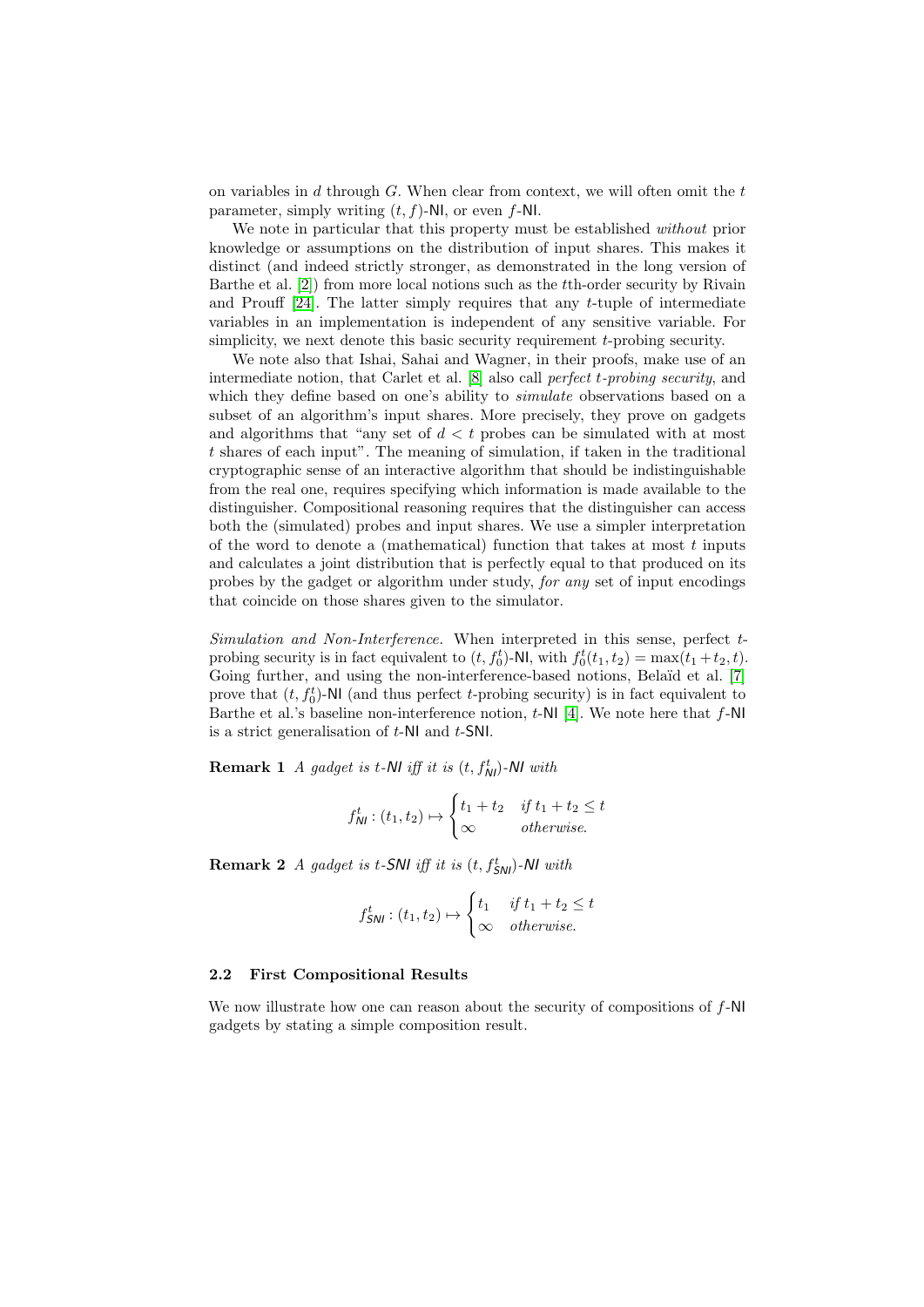on variables in  $d$  through  $G$ . When clear from context, we will often omit the  $t$ parameter, simply writing  $(t, f)$ -NI, or even f-NI.

We note in particular that this property must be established *without* prior knowledge or assumptions on the distribution of input shares. This makes it distinct (and indeed strictly stronger, as demonstrated in the long version of Barthe et al. [\[2\]](#page-17-9)) from more local notions such as the tth-order security by Rivain and Prouff  $[24]$ . The latter simply requires that any t-tuple of intermediate variables in an implementation is independent of any sensitive variable. For simplicity, we next denote this basic security requirement t-probing security.

We note also that Ishai, Sahai and Wagner, in their proofs, make use of an intermediate notion, that Carlet et al. [\[8\]](#page-17-10) also call perfect t-probing security, and which they define based on one's ability to *simulate* observations based on a subset of an algorithm's input shares. More precisely, they prove on gadgets and algorithms that "any set of  $d < t$  probes can be simulated with at most t shares of each input". The meaning of simulation, if taken in the traditional cryptographic sense of an interactive algorithm that should be indistinguishable from the real one, requires specifying which information is made available to the distinguisher. Compositional reasoning requires that the distinguisher can access both the (simulated) probes and input shares. We use a simpler interpretation of the word to denote a (mathematical) function that takes at most  $t$  inputs and calculates a joint distribution that is perfectly equal to that produced on its probes by the gadget or algorithm under study, for any set of input encodings that coincide on those shares given to the simulator.

Simulation and Non-Interference. When interpreted in this sense, perfect tprobing security is in fact equivalent to  $(t, f_0^t)$ -NI, with  $f_0^t(t_1, t_2) = \max(t_1 + t_2, t)$ . Going further, and using the non-interference-based notions, Belaïd et al. [\[7\]](#page-17-7) prove that  $(t, f_0^t)$ -NI (and thus perfect t-probing security) is in fact equivalent to Barthe et al.'s baseline non-interference notion,  $t$ -NI [\[4\]](#page-17-5). We note here that  $f$ -NI is a strict generalisation of t-NI and t-SNI.

**Remark 1** A gadget is t-NI iff it is  $(t, f_{N}^{t})$ -NI with

$$
f_{\mathsf{NI}}^t : (t_1, t_2) \mapsto \begin{cases} t_1 + t_2 & \text{if } t_1 + t_2 \le t \\ \infty & \text{otherwise.} \end{cases}
$$

<span id="page-4-1"></span>**Remark 2** A gadget is t-SNI iff it is  $(t, f_{SW}^t)$ -NI with

$$
f_{\mathsf{SNI}}^t : (t_1, t_2) \mapsto \begin{cases} t_1 & \text{if } t_1 + t_2 \le t \\ \infty & \text{otherwise.} \end{cases}
$$

#### 2.2 First Compositional Results

<span id="page-4-0"></span>We now illustrate how one can reason about the security of compositions of  $f$ -NI gadgets by stating a simple composition result.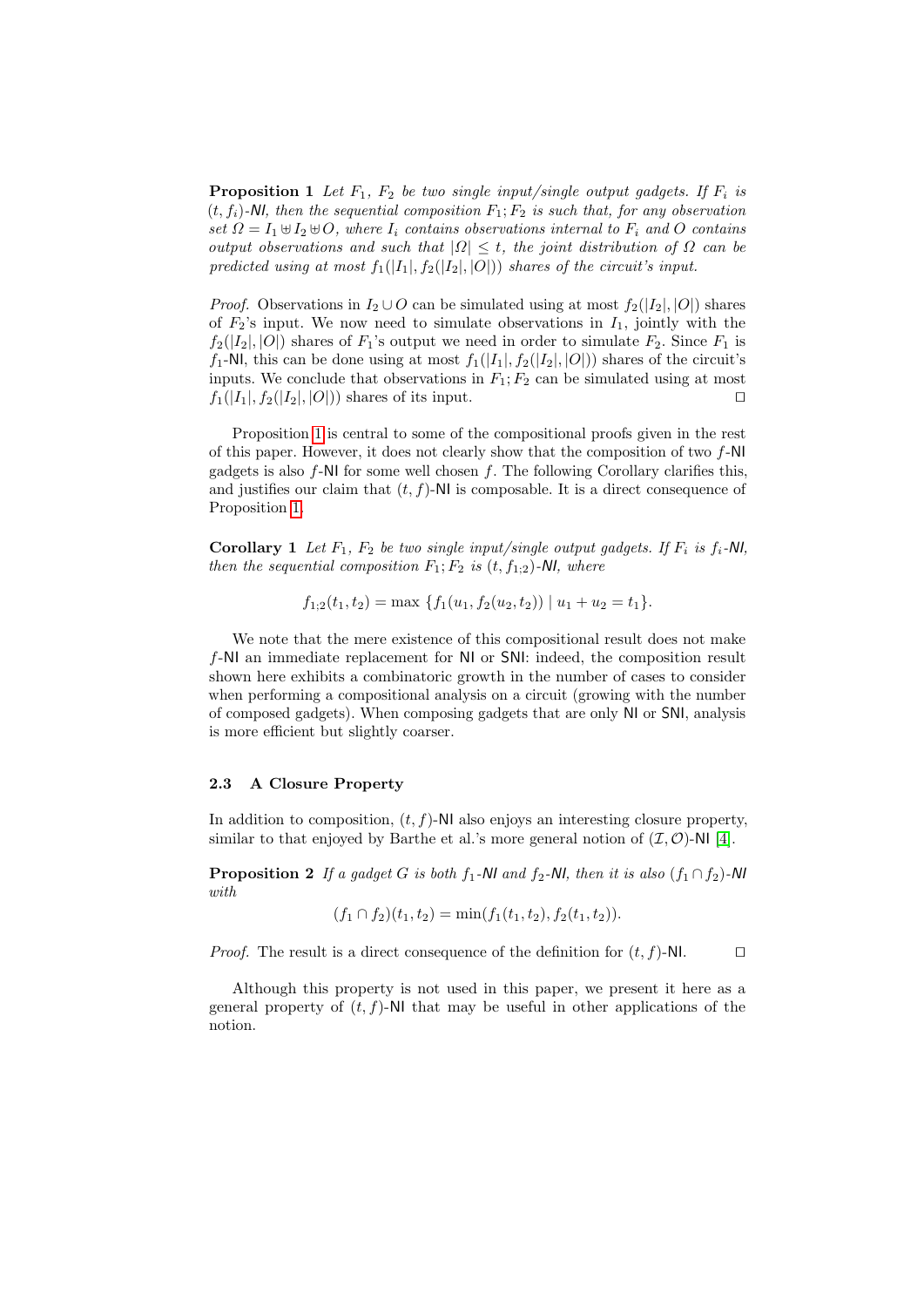**Proposition 1** Let  $F_1$ ,  $F_2$  be two single input/single output gadgets. If  $F_i$  is  $(t, f_i)$ -NI, then the sequential composition  $F_1; F_2$  is such that, for any observation set  $\Omega = I_1 \oplus I_2 \oplus O$ , where  $I_i$  contains observations internal to  $F_i$  and O contains output observations and such that  $|\Omega| \leq t$ , the joint distribution of  $\Omega$  can be predicted using at most  $f_1(|I_1|, f_2(|I_2|, |O|))$  shares of the circuit's input.

*Proof.* Observations in  $I_2 \cup O$  can be simulated using at most  $f_2(|I_2|, |O|)$  shares of  $F_2$ 's input. We now need to simulate observations in  $I_1$ , jointly with the  $f_2(|I_2|,|O|)$  shares of  $F_1$ 's output we need in order to simulate  $F_2$ . Since  $F_1$  is  $f_1$ -NI, this can be done using at most  $f_1(|I_1|, f_2(|I_2|, |O|))$  shares of the circuit's inputs. We conclude that observations in  $F_1$ ;  $F_2$  can be simulated using at most  $f_1(|I_1|, f_2(|I_2|, |O|))$  shares of its input.

Proposition [1](#page-4-0) is central to some of the compositional proofs given in the rest of this paper. However, it does not clearly show that the composition of two  $f$ -NI gadgets is also  $f$ -NI for some well chosen  $f$ . The following Corollary clarifies this, and justifies our claim that  $(t, f)$ -NI is composable. It is a direct consequence of Proposition [1.](#page-4-0)

**Corollary 1** Let  $F_1$ ,  $F_2$  be two single input/single output gadgets. If  $F_i$  is  $f_i$ -NI, then the sequential composition  $F_1; F_2$  is  $(t, f_{1,2})$ -NI, where

$$
f_{1,2}(t_1, t_2) = \max \{ f_1(u_1, f_2(u_2, t_2)) | u_1 + u_2 = t_1 \}.
$$

We note that the mere existence of this compositional result does not make f-NI an immediate replacement for NI or SNI: indeed, the composition result shown here exhibits a combinatoric growth in the number of cases to consider when performing a compositional analysis on a circuit (growing with the number of composed gadgets). When composing gadgets that are only NI or SNI, analysis is more efficient but slightly coarser.

#### 2.3 A Closure Property

In addition to composition,  $(t, f)$ -NI also enjoys an interesting closure property, similar to that enjoyed by Barthe et al.'s more general notion of  $(\mathcal{I}, \mathcal{O})$ -NI [\[4\]](#page-17-5).

**Proposition 2** If a gadget G is both  $f_1$ -NI and  $f_2$ -NI, then it is also  $(f_1 \cap f_2)$ -NI with

$$
(f_1 \cap f_2)(t_1, t_2) = \min(f_1(t_1, t_2), f_2(t_1, t_2)).
$$

*Proof.* The result is a direct consequence of the definition for  $(t, f)$ -NI.  $\Box$ 

Although this property is not used in this paper, we present it here as a general property of  $(t, f)$ -NI that may be useful in other applications of the notion.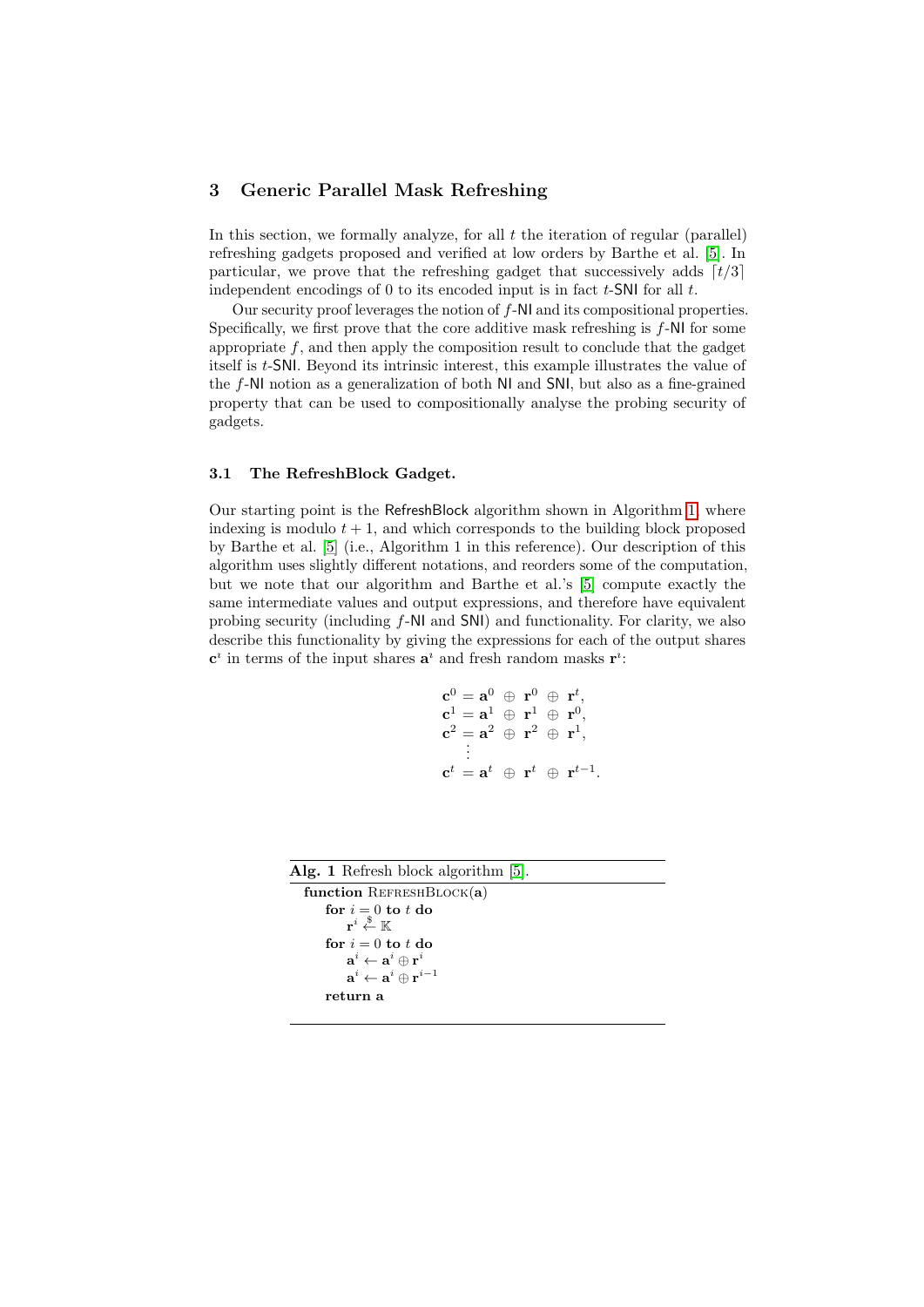## 3 Generic Parallel Mask Refreshing

In this section, we formally analyze, for all  $t$  the iteration of regular (parallel) refreshing gadgets proposed and verified at low orders by Barthe et al. [\[5\]](#page-17-1). In particular, we prove that the refreshing gadget that successively adds  $\lceil t/3 \rceil$ independent encodings of 0 to its encoded input is in fact  $t$ -SNI for all  $t$ .

Our security proof leverages the notion of f-NI and its compositional properties. Specifically, we first prove that the core additive mask refreshing is  $f$ -NI for some appropriate  $f$ , and then apply the composition result to conclude that the gadget itself is t-SNI. Beyond its intrinsic interest, this example illustrates the value of the f-NI notion as a generalization of both NI and SNI, but also as a fine-grained property that can be used to compositionally analyse the probing security of gadgets.

#### 3.1 The RefreshBlock Gadget.

Our starting point is the RefreshBlock algorithm shown in Algorithm [1,](#page-6-0) where indexing is modulo  $t + 1$ , and which corresponds to the building block proposed by Barthe et al. [\[5\]](#page-17-1) (i.e., Algorithm 1 in this reference). Our description of this algorithm uses slightly different notations, and reorders some of the computation, but we note that our algorithm and Barthe et al.'s [\[5\]](#page-17-1) compute exactly the same intermediate values and output expressions, and therefore have equivalent probing security (including f-NI and SNI) and functionality. For clarity, we also describe this functionality by giving the expressions for each of the output shares  $\mathbf{c}^i$  in terms of the input shares  $\mathbf{a}^i$  and fresh random masks  $\mathbf{r}^i$ :

$$
\mathbf{c}^0 = \mathbf{a}^0 \oplus \mathbf{r}^0 \oplus \mathbf{r}^t, \n\mathbf{c}^1 = \mathbf{a}^1 \oplus \mathbf{r}^1 \oplus \mathbf{r}^0, \n\mathbf{c}^2 = \mathbf{a}^2 \oplus \mathbf{r}^2 \oplus \mathbf{r}^1, \n\vdots \n\mathbf{c}^t = \mathbf{a}^t \oplus \mathbf{r}^t \oplus \mathbf{r}^{t-1}.
$$

<span id="page-6-0"></span>

| Alg. 1 Refresh block algorithm $[5]$ .                         |
|----------------------------------------------------------------|
| function REFRESHBLOCK(a)                                       |
| for $i=0$ to t do                                              |
| $\mathbf{r}^i \overset{\$}{\leftarrow} \mathbb{K}$             |
| for $i=0$ to t do                                              |
| $\mathbf{a}^i \leftarrow \mathbf{a}^i \oplus \mathbf{r}^i$     |
| $\mathbf{a}^i \leftarrow \mathbf{a}^i \oplus \mathbf{r}^{i-1}$ |
| return a                                                       |
|                                                                |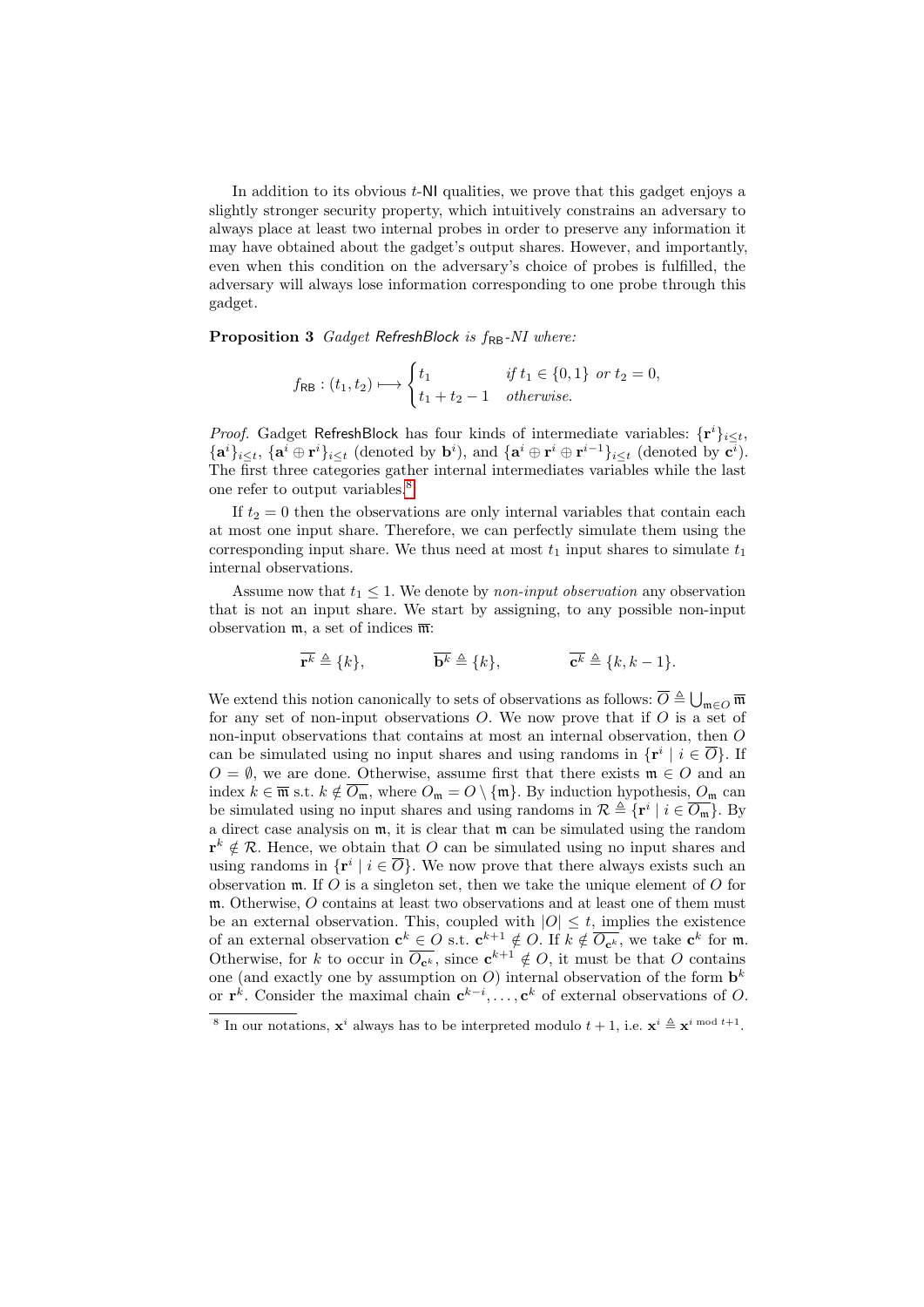In addition to its obvious  $t$ -NI qualities, we prove that this gadget enjoys a slightly stronger security property, which intuitively constrains an adversary to always place at least two internal probes in order to preserve any information it may have obtained about the gadget's output shares. However, and importantly, even when this condition on the adversary's choice of probes is fulfilled, the adversary will always lose information corresponding to one probe through this gadget.

<span id="page-7-1"></span>**Proposition 3** Gadget RefreshBlock is  $f_{RB}$ -NI where:

$$
f_{\mathsf{RB}} : (t_1, t_2) \longmapsto \begin{cases} t_1 & \text{if } t_1 \in \{0, 1\} \text{ or } t_2 = 0, \\ t_1 + t_2 - 1 & \text{otherwise.} \end{cases}
$$

*Proof.* Gadget RefreshBlock has four kinds of intermediate variables:  $\{r^i\}_{i\leq t}$ ,  $\{a^i\}_{i\leq t}, \{a^i \oplus r^i\}_{i\leq t}$  (denoted by  $b^i$ ), and  $\{a^i \oplus r^i \oplus r^{i-1}\}_{i\leq t}$  (denoted by  $c^i$ ). The first three categories gather internal intermediates variables while the last one refer to output variables.[8](#page-7-0)

If  $t_2 = 0$  then the observations are only internal variables that contain each at most one input share. Therefore, we can perfectly simulate them using the corresponding input share. We thus need at most  $t_1$  input shares to simulate  $t_1$ internal observations.

Assume now that  $t_1 \leq 1$ . We denote by *non-input observation* any observation that is not an input share. We start by assigning, to any possible non-input observation  $m$ , a set of indices  $\overline{m}$ :

$$
\overline{\mathbf{r}^k} \triangleq \{k\}, \qquad \qquad \overline{\mathbf{b}^k} \triangleq \{k\}, \qquad \qquad \overline{\mathbf{c}^k} \triangleq \{k, k-1\}.
$$

We extend this notion canonically to sets of observations as follows:  $\overline{O} \triangleq \bigcup_{\mathfrak{m} \in O} \overline{\mathfrak{m}}$ for any set of non-input observations  $O$ . We now prove that if  $O$  is a set of non-input observations that contains at most an internal observation, then O can be simulated using no input shares and using randoms in  $\{r^i \mid i \in \overline{O}\}\.$  If  $O = \emptyset$ , we are done. Otherwise, assume first that there exists  $\mathfrak{m} \in O$  and an index  $k \in \overline{\mathfrak{m}}$  s.t.  $k \notin \overline{O_{\mathfrak{m}}}$ , where  $O_{\mathfrak{m}} = O \setminus \{\mathfrak{m}\}\$ . By induction hypothesis,  $O_{\mathfrak{m}}$  can be simulated using no input shares and using randoms in  $\mathcal{R} \triangleq \{ \mathbf{r}^i \mid i \in \overline{O_m} \}.$  By a direct case analysis on m, it is clear that m can be simulated using the random  $\mathbf{r}^{k} \notin \mathcal{R}$ . Hence, we obtain that O can be simulated using no input shares and using randoms in  $\{\mathbf{r}^i \mid i \in \overline{O}\}\.$  We now prove that there always exists such an observation  $\mathfrak{m}$ . If O is a singleton set, then we take the unique element of O for m. Otherwise, O contains at least two observations and at least one of them must be an external observation. This, coupled with  $|O| \leq t$ , implies the existence of an external observation  $c^k \in O$  s.t.  $c^{k+1} \notin O$ . If  $k \notin \overline{O_{c^k}}$ , we take  $c^k$  for m. Otherwise, for k to occur in  $\overline{O_{\mathbf{c}^k}}$ , since  $\mathbf{c}^{k+1} \notin O$ , it must be that O contains one (and exactly one by assumption on  $O$ ) internal observation of the form  $\mathbf{b}^k$ or  $\mathbf{r}^k$ . Consider the maximal chain  $\mathbf{c}^{k-i}, \ldots, \mathbf{c}^k$  of external observations of O.

<span id="page-7-0"></span><sup>&</sup>lt;sup>8</sup> In our notations,  $\mathbf{x}^i$  always has to be interpreted modulo  $t + 1$ , i.e.  $\mathbf{x}^i \triangleq \mathbf{x}^{i \mod t+1}$ .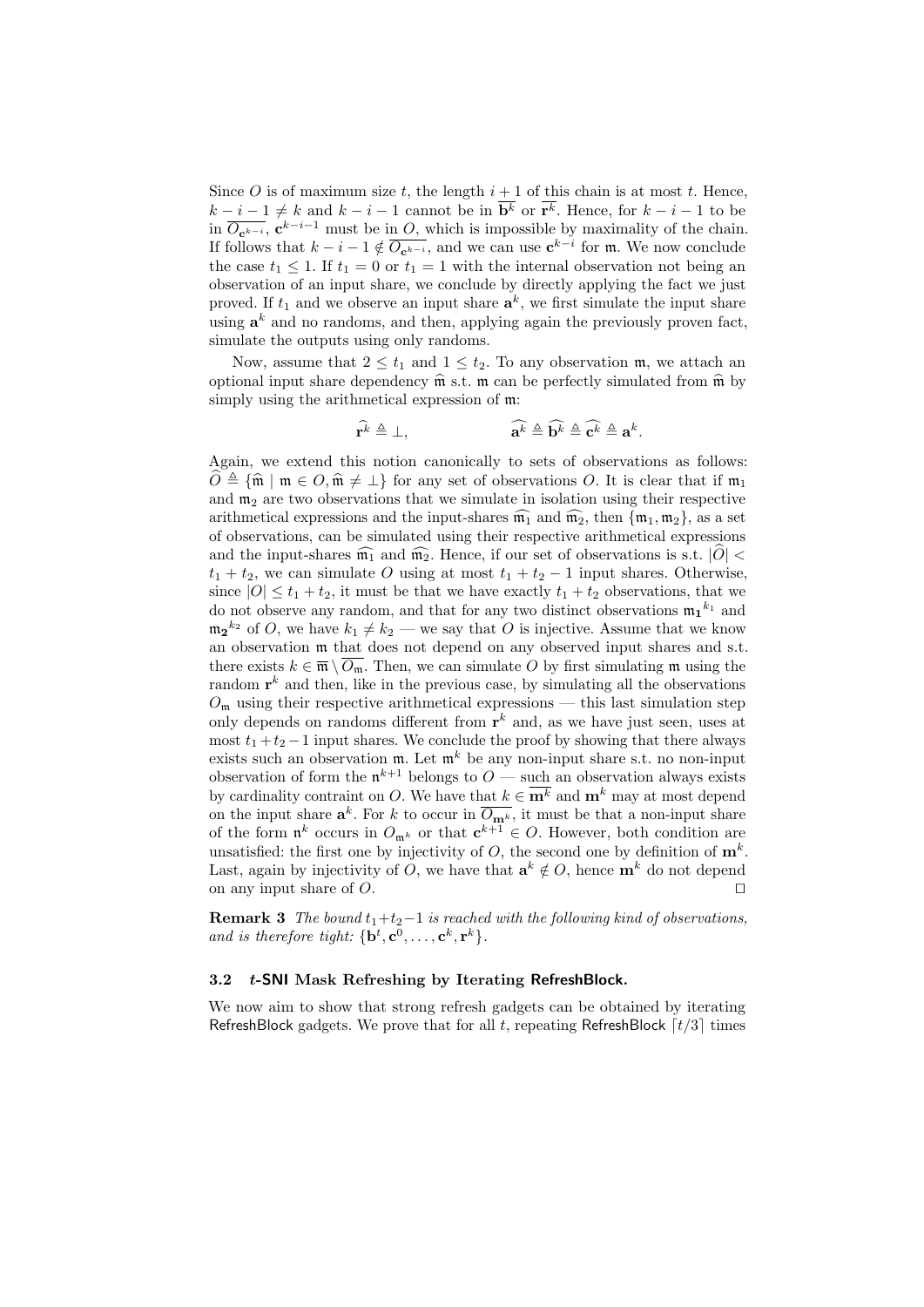Since O is of maximum size t, the length  $i + 1$  of this chain is at most t. Hence,  $k-i-1 \neq k$  and  $k-i-1$  cannot be in  $\mathbf{b}^k$  or  $\mathbf{r}^k$ . Hence, for  $k-i-1$  to be in  $\overline{O_{\mathbf{c}^{k-i}}}, \mathbf{c}^{k-i-1}$  must be in O, which is impossible by maximality of the chain. If follows that  $k - i - 1 \notin \overline{O_{\mathbf{c}^{k-i}}},$  and we can use  $\mathbf{c}^{k-i}$  for  $\mathfrak{m}$ . We now conclude the case  $t_1 \leq 1$ . If  $t_1 = 0$  or  $t_1 = 1$  with the internal observation not being an observation of an input share, we conclude by directly applying the fact we just proved. If  $t_1$  and we observe an input share  $\mathbf{a}^k$ , we first simulate the input share using  $a^k$  and no randoms, and then, applying again the previously proven fact, simulate the outputs using only randoms.

Now, assume that  $2 \leq t_1$  and  $1 \leq t_2$ . To any observation m, we attach an optional input share dependency  $\hat{\mathfrak{m}}$  s.t.  $\mathfrak{m}$  can be perfectly simulated from  $\hat{\mathfrak{m}}$  by simply using the arithmetical expression of m:

$$
\widehat{\mathbf{r}^k} \triangleq \perp, \qquad \qquad \widehat{\mathbf{a}^k} \triangleq \widehat{\mathbf{b}^k} \triangleq \widehat{\mathbf{c}^k} \triangleq \mathbf{a}^k
$$

.

Again, we extend this notion canonically to sets of observations as follows:  $\tilde{O} \triangleq {\hat{\mathfrak{m}}} \mid {\mathfrak{m}} \in O, {\hat{\mathfrak{m}}} \neq \perp$  for any set of observations O. It is clear that if  ${\mathfrak{m}}_1$ and  $m_2$  are two observations that we simulate in isolation using their respective arithmetical expressions and the input-shares  $\widehat{\mathfrak{m}_1}$  and  $\widehat{\mathfrak{m}_2}$ , then  $\{\mathfrak{m}_1, \mathfrak{m}_2\}$ , as a set of observations, can be simulated using their respective arithmetical expressions and the input-shares  $\widehat{\mathfrak{m}_1}$  and  $\widehat{\mathfrak{m}_2}$ . Hence, if our set of observations is s.t.  $|\widehat{O}|$  <  $t_1 + t_2$ , we can simulate O using at most  $t_1 + t_2 - 1$  input shares. Otherwise, since  $|O| \le t_1 + t_2$ , it must be that we have exactly  $t_1 + t_2$  observations, that we do not observe any random, and that for any two distinct observations  $\mathfrak{m}_1^{k_1}$  and  $\mathfrak{m}_2^{\phantom{k}k_2}$  of O, we have  $k_1 \neq k_2$  — we say that O is injective. Assume that we know an observation m that does not depend on any observed input shares and s.t. there exists  $k \in \overline{\mathfrak{m}} \setminus \overline{O_{\mathfrak{m}}}$ . Then, we can simulate O by first simulating  $\mathfrak{m}$  using the random  $\mathbf{r}^k$  and then, like in the previous case, by simulating all the observations  $O_m$  using their respective arithmetical expressions — this last simulation step only depends on randoms different from  $\mathbf{r}^k$  and, as we have just seen, uses at most  $t_1 + t_2 - 1$  input shares. We conclude the proof by showing that there always exists such an observation  $m$ . Let  $m^k$  be any non-input share s.t. no non-input observation of form the  $\mathfrak{n}^{k+1}$  belongs to  $O$  — such an observation always exists by cardinality contraint on O. We have that  $k \in \overline{\mathbf{m}^k}$  and  $\mathbf{m}^k$  may at most depend on the input share  $\mathbf{a}^k$ . For k to occur in  $\overline{O_{\mathbf{m}^k}}$ , it must be that a non-input share of the form  $\mathfrak{n}^k$  occurs in  $O_{\mathfrak{m}^k}$  or that  $\mathbf{c}^{k+1} \in O$ . However, both condition are unsatisfied: the first one by injectivity of O, the second one by definition of  $\mathbf{m}^{k}$ . Last, again by injectivity of O, we have that  $\mathbf{a}^k \notin O$ , hence  $\mathbf{m}^k$  do not depend on any input share of  $O$ .

**Remark 3** The bound  $t_1+t_2-1$  is reached with the following kind of observations, and is therefore tight:  $\{b^t, c^0, \ldots, c^k, r^k\}.$ 

#### <span id="page-8-0"></span>3.2 t-SNI Mask Refreshing by Iterating RefreshBlock.

We now aim to show that strong refresh gadgets can be obtained by iterating RefreshBlock gadgets. We prove that for all t, repeating RefreshBlock  $\lceil t/3 \rceil$  times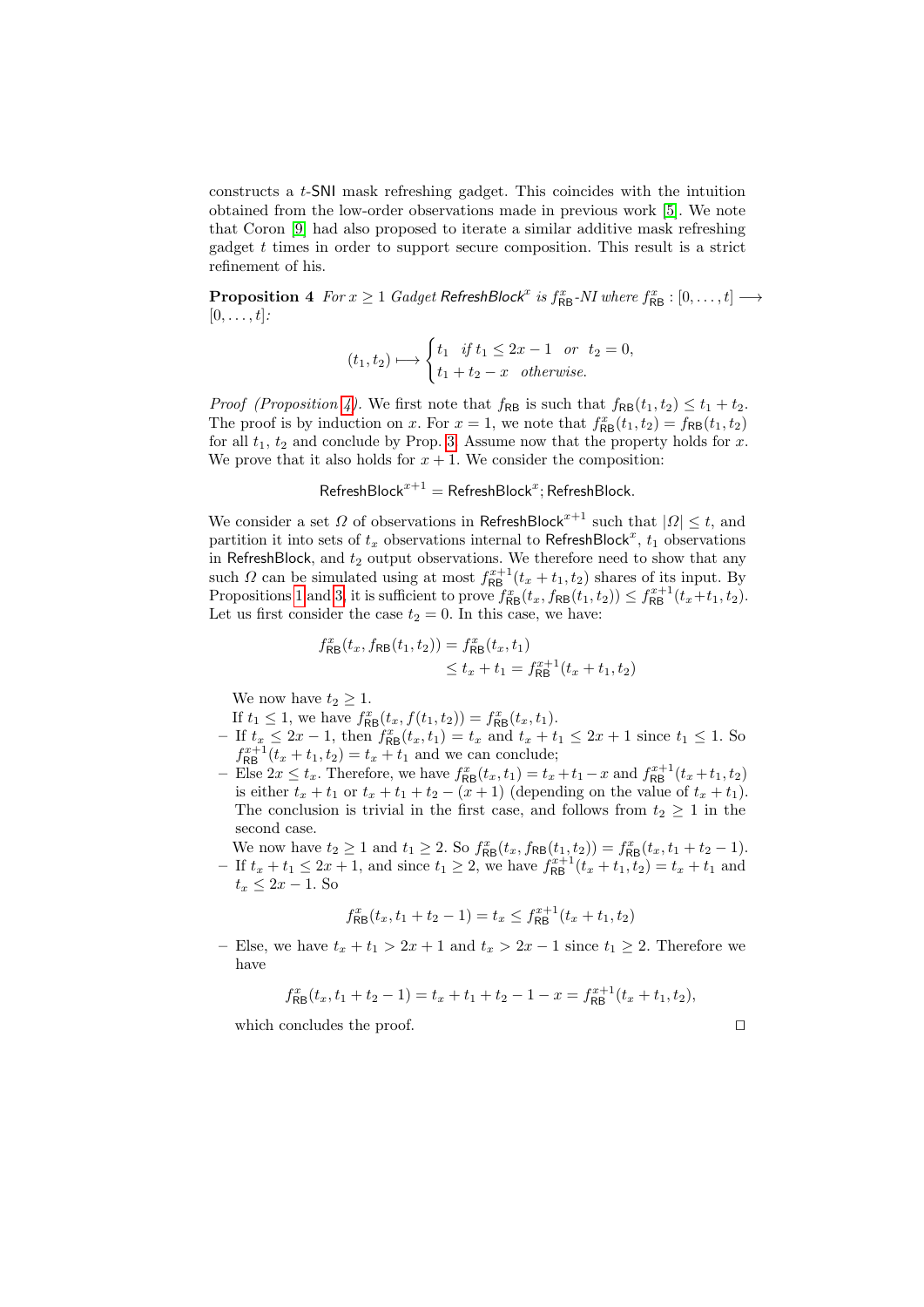constructs a t-SNI mask refreshing gadget. This coincides with the intuition obtained from the low-order observations made in previous work [\[5\]](#page-17-1). We note that Coron [\[9\]](#page-17-11) had also proposed to iterate a similar additive mask refreshing gadget t times in order to support secure composition. This result is a strict refinement of his.

<span id="page-9-0"></span>**Proposition** 4  $For x \ge 1$   $Gagger$  RefreshBlock<sup>x</sup> is  $f_{RB}^x$ -NI where  $f_{RB}^x$ :  $[0, ..., t]$   $\longrightarrow$  $[0,\ldots,t]$ :

$$
(t_1, t_2) \longmapsto \begin{cases} t_1 & \text{if } t_1 \leq 2x - 1 \quad \text{or} \quad t_2 = 0, \\ t_1 + t_2 - x & \text{otherwise.} \end{cases}
$$

*Proof (Proposition [4\)](#page-9-0)*. We first note that  $f_{RB}$  is such that  $f_{RB}(t_1, t_2) \le t_1 + t_2$ . The proof is by induction on x. For  $x = 1$ , we note that  $f_{\text{RB}}^x(t_1, t_2) = f_{\text{RB}}(t_1, t_2)$ for all  $t_1$ ,  $t_2$  and conclude by Prop. [3.](#page-7-1) Assume now that the property holds for x. We prove that it also holds for  $x + 1$ . We consider the composition:

 $\mathsf{References}\textsf{hBlock}^{x+1} = \mathsf{References}\textsf{hBlock}^x; \mathsf{References}\textsf{hBlock}.$ 

We consider a set  $\Omega$  of observations in RefreshBlock<sup>x+1</sup> such that  $|\Omega| \leq t$ , and partition it into sets of  $t_x$  observations internal to RefreshBlock<sup>x</sup>,  $t_1$  observations in RefreshBlock, and  $t_2$  output observations. We therefore need to show that any such  $\Omega$  can be simulated using at most  $f_{\text{RB}}^{x+1}(t_x + t_1, t_2)$  shares of its input. By Propositions [1](#page-4-0) and [3,](#page-7-1) it is sufficient to prove  $f_{RB}^x(t_x, f_{RB}(t_1, t_2)) \leq f_{RB}^{x+1}(t_x+t_1, t_2)$ . Let us first consider the case  $t_2 = 0$ . In this case, we have:

$$
f_{\text{RB}}^{x}(t_{x}, f_{\text{RB}}(t_{1}, t_{2})) = f_{\text{RB}}^{x}(t_{x}, t_{1})
$$
  

$$
\leq t_{x} + t_{1} = f_{\text{RB}}^{x+1}(t_{x} + t_{1}, t_{2})
$$

We now have  $t_2 \geq 1$ .

If  $t_1 \leq 1$ , we have  $f_{\text{RB}}^x(t_x, f(t_1, t_2)) = f_{\text{RB}}^x(t_x, t_1)$ .

- $-$  If  $t_x \leq 2x 1$ , then  $f_{RB}^x(t_x, t_1) = t_x$  and  $t_x + t_1 \leq 2x + 1$  since  $t_1 \leq 1$ . So  $f_{RB}^{x+1}(t_x + t_1, t_2) = t_x + t_1$  and we can conclude;
- Else  $2x \le t_x$ . Therefore, we have  $f_{\text{RB}}^x(t_x, t_1) = t_x + t_1 x$  and  $f_{\text{RB}}^{x+1}(t_x + t_1, t_2)$ is either  $t_x + t_1$  or  $t_x + t_1 + t_2 - (x + 1)$  (depending on the value of  $t_x + t_1$ ). The conclusion is trivial in the first case, and follows from  $t_2 \geq 1$  in the second case.
- We now have  $t_2 \geq 1$  and  $t_1 \geq 2$ . So  $f_{RB}^x(t_x, f_{RB}(t_1, t_2)) = f_{RB}^x(t_x, t_1 + t_2 1)$ . − If  $t_x + t_1 \leq 2x + 1$ , and since  $t_1 \geq 2$ , we have  $f_{RB}^{x+1}(t_x + t_1, t_2) = t_x + t_1$  and  $t_x \leq 2x - 1$ . So

$$
f_{\sf RB}^x(t_x, t_1 + t_2 - 1) = t_x \le f_{\sf RB}^{x+1}(t_x + t_1, t_2)
$$

– Else, we have  $t_x + t_1 > 2x + 1$  and  $t_x > 2x - 1$  since  $t_1 \geq 2$ . Therefore we have

$$
f_{\sf RB}^x(t_x, t_1 + t_2 - 1) = t_x + t_1 + t_2 - 1 - x = f_{\sf RB}^{x+1}(t_x + t_1, t_2),
$$

<span id="page-9-1"></span>which concludes the proof.  $\Box$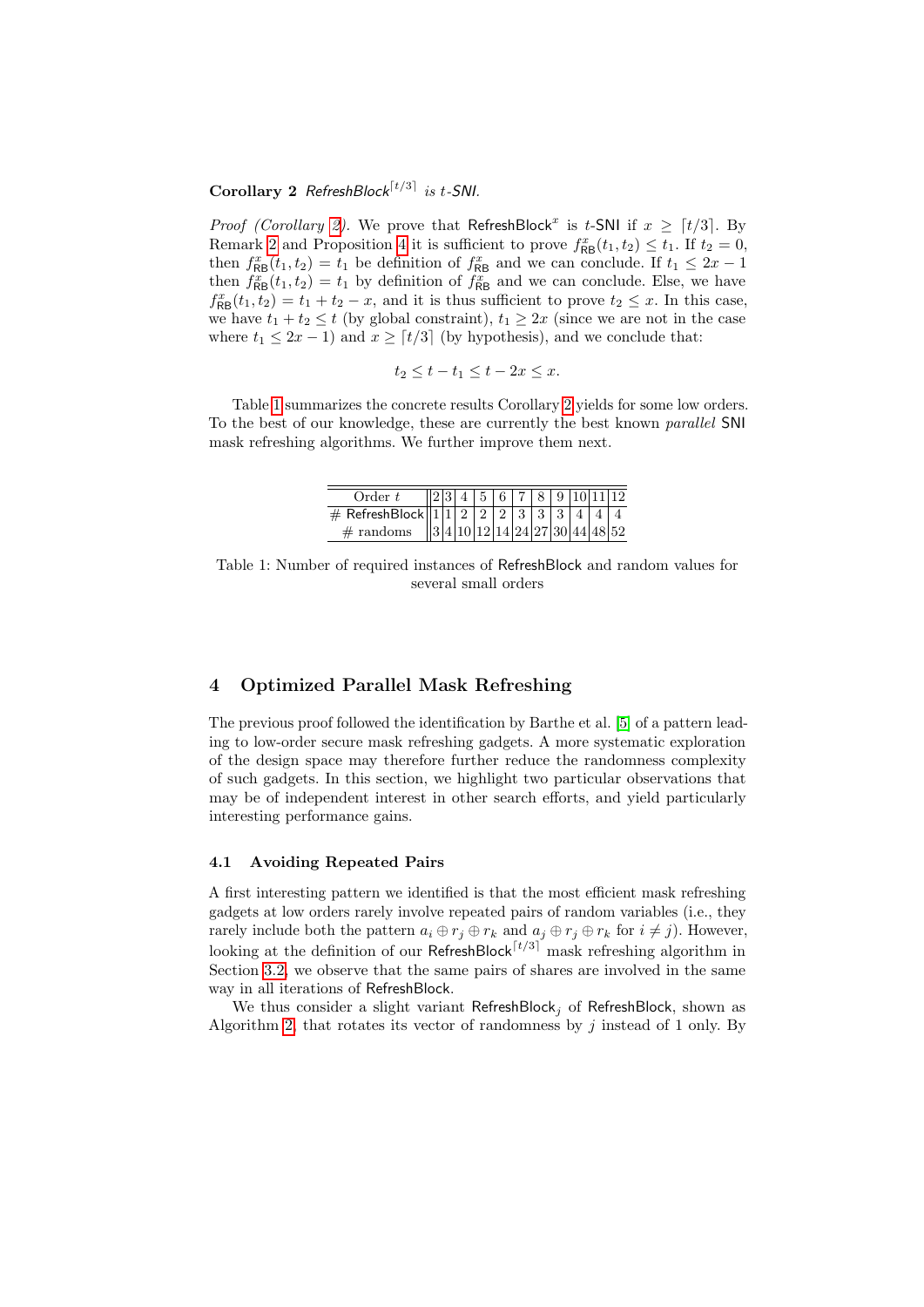## Corollary 2 RefreshBlock $[t/3]$  is t-SNI.

*Proof (Corollary [2\)](#page-9-1)*. We prove that RefreshBlock<sup>x</sup> is t-SNI if  $x \geq \lceil t/3 \rceil$ . By Remark [2](#page-4-1) and Proposition [4](#page-9-0) it is sufficient to prove  $f_{RB}^x(t_1, t_2) \le t_1$ . If  $t_2 = 0$ , then  $f_{\text{RB}}^x(t_1, t_2) = t_1$  be definition of  $f_{\text{RB}}^x$  and we can conclude. If  $t_1 \leq 2x - 1$ then  $f_{\text{RB}}^x(t_1, t_2) = t_1$  by definition of  $f_{\text{RB}}^x$  and we can conclude. Else, we have  $f_{\text{RB}}^x(t_1, t_2) = t_1 + t_2 - x$ , and it is thus sufficient to prove  $t_2 \leq x$ . In this case, we have  $t_1 + t_2 \le t$  (by global constraint),  $t_1 \ge 2x$  (since we are not in the case where  $t_1 \leq 2x - 1$ ) and  $x \geq \lfloor t/3 \rfloor$  (by hypothesis), and we conclude that:

$$
t_2 \le t - t_1 \le t - 2x \le x.
$$

<span id="page-10-0"></span>Table [1](#page-10-0) summarizes the concrete results Corollary [2](#page-9-1) yields for some low orders. To the best of our knowledge, these are currently the best known parallel SNI mask refreshing algorithms. We further improve them next.

| Order $t$                                    |  |  | 15   6   7   8   9   10   11   12 |  |  |  |
|----------------------------------------------|--|--|-----------------------------------|--|--|--|
| # RefreshBlock 11 1 2 2 2 3 3 3 4 4 4        |  |  |                                   |  |  |  |
| # randoms $  3 4 10 12 14 24 27 30 44 48 52$ |  |  |                                   |  |  |  |

Table 1: Number of required instances of RefreshBlock and random values for several small orders

## 4 Optimized Parallel Mask Refreshing

The previous proof followed the identification by Barthe et al. [\[5\]](#page-17-1) of a pattern leading to low-order secure mask refreshing gadgets. A more systematic exploration of the design space may therefore further reduce the randomness complexity of such gadgets. In this section, we highlight two particular observations that may be of independent interest in other search efforts, and yield particularly interesting performance gains.

### 4.1 Avoiding Repeated Pairs

A first interesting pattern we identified is that the most efficient mask refreshing gadgets at low orders rarely involve repeated pairs of random variables (i.e., they rarely include both the pattern  $a_i \oplus r_j \oplus r_k$  and  $a_j \oplus r_j \oplus r_k$  for  $i \neq j$ ). However, looking at the definition of our RefreshBlock<sup> $\lceil t/3 \rceil$ </sup> mask refreshing algorithm in Section [3.2,](#page-8-0) we observe that the same pairs of shares are involved in the same way in all iterations of RefreshBlock.

We thus consider a slight variant RefreshBlock<sub>j</sub> of RefreshBlock, shown as Algorithm [2,](#page-11-0) that rotates its vector of randomness by  $j$  instead of 1 only. By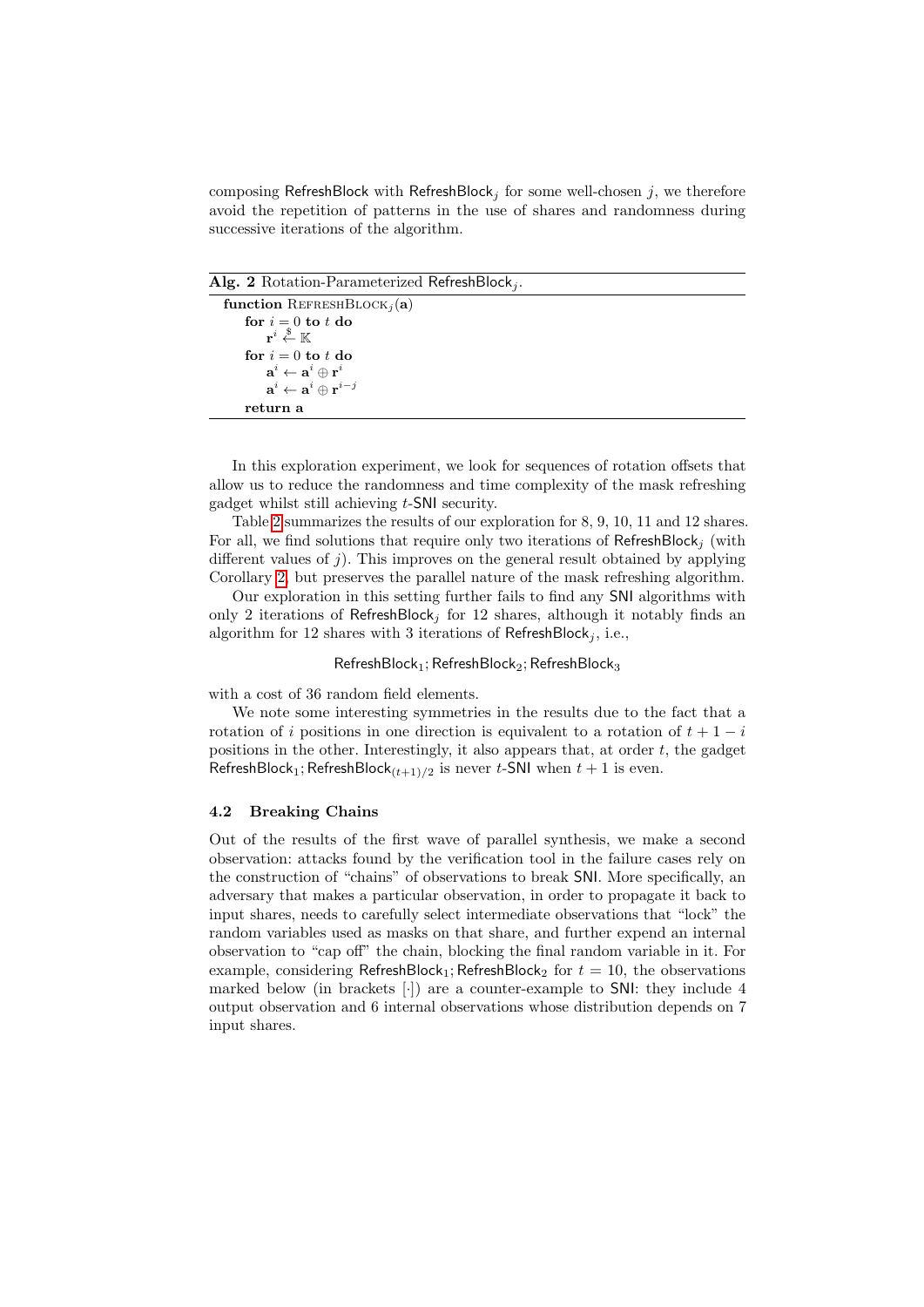composing RefreshBlock with RefreshBlock<sub>j</sub> for some well-chosen j, we therefore avoid the repetition of patterns in the use of shares and randomness during successive iterations of the algorithm.

<span id="page-11-0"></span>Alg. 2 Rotation-Parameterized RefreshBlock<sub>i</sub> function REFRESHBLOCK<sub>i</sub>(a) for  $i = 0$  to t do  $\mathbf{r}^i \overset{\$}{\leftarrow} \mathbb{K}$ for  $i = 0$  to t do  $\mathbf{a}^i \leftarrow \mathbf{a}^i \oplus \mathbf{r}^i$  $\mathbf{a}^i \leftarrow \mathbf{a}^i \oplus \mathbf{r}^{i-j}$ return a

In this exploration experiment, we look for sequences of rotation offsets that allow us to reduce the randomness and time complexity of the mask refreshing gadget whilst still achieving t-SNI security.

Table [2](#page-12-0) summarizes the results of our exploration for 8, 9, 10, 11 and 12 shares. For all, we find solutions that require only two iterations of  $\mathsf{References}$  Helphock<sub>j</sub> (with different values of  $j$ ). This improves on the general result obtained by applying Corollary [2,](#page-9-1) but preserves the parallel nature of the mask refreshing algorithm.

Our exploration in this setting further fails to find any SNI algorithms with only 2 iterations of RefreshBlock<sub>j</sub> for 12 shares, although it notably finds an algorithm for 12 shares with 3 iterations of  $\mathsf{References}$  Block<sub>i</sub>, i.e.,

#### $RefreshBlock<sub>1</sub>; RefreshBlock<sub>2</sub>; RefreshBlock<sub>3</sub>$

with a cost of 36 random field elements.

We note some interesting symmetries in the results due to the fact that a rotation of i positions in one direction is equivalent to a rotation of  $t + 1 - i$ positions in the other. Interestingly, it also appears that, at order  $t$ , the gadget RefreshBlock<sub>1</sub>; RefreshBlock<sub>(t+1)/2</sub> is never t-SNI when  $t + 1$  is even.

#### 4.2 Breaking Chains

Out of the results of the first wave of parallel synthesis, we make a second observation: attacks found by the verification tool in the failure cases rely on the construction of "chains" of observations to break SNI. More specifically, an adversary that makes a particular observation, in order to propagate it back to input shares, needs to carefully select intermediate observations that "lock" the random variables used as masks on that share, and further expend an internal observation to "cap off" the chain, blocking the final random variable in it. For example, considering RefreshBlock<sub>1</sub>; RefreshBlock<sub>2</sub> for  $t = 10$ , the observations marked below (in brackets [·]) are a counter-example to SNI: they include 4 output observation and 6 internal observations whose distribution depends on 7 input shares.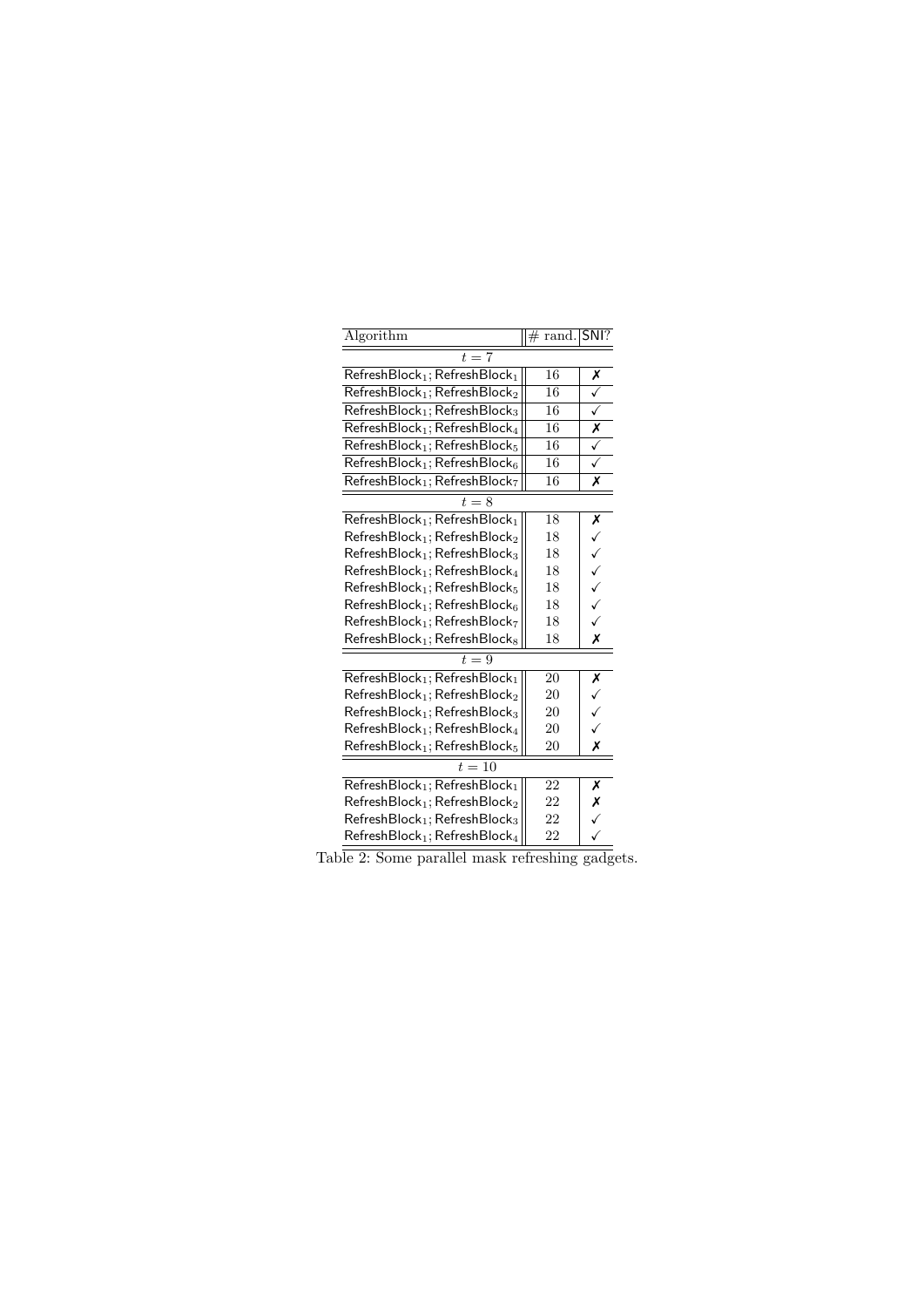<span id="page-12-0"></span>

| Algorithm                                             | $#$ rand. SNI? |             |  |  |  |  |  |
|-------------------------------------------------------|----------------|-------------|--|--|--|--|--|
| $t=7$                                                 |                |             |  |  |  |  |  |
| $RefreshBlock1; RefreshBlock1$                        | 16             | Х           |  |  |  |  |  |
| $RefreshBlock1; RefreshBlock2$                        | 16             |             |  |  |  |  |  |
| $RefreshBlock_1$ ; RefreshBlock <sub>3</sub>          | 16             |             |  |  |  |  |  |
| $RefreshBlock_1$ ; RefreshBlock <sub>4</sub>          | 16             | X           |  |  |  |  |  |
| RefreshBlock <sub>1</sub> ; RefreshBlock <sub>5</sub> | 16             | √           |  |  |  |  |  |
| $RefreshBlock1; RefreshBlock6$                        | 16             | ✓           |  |  |  |  |  |
| $RefreshBlock1; RefreshBlock7$                        | 16             | Х           |  |  |  |  |  |
| $t=8$                                                 |                |             |  |  |  |  |  |
| $RefreshBlock1; RefreshBlock1$                        | 18             |             |  |  |  |  |  |
| $\mathsf{RefreshBlock}_1$ ; $\mathsf{RefreshBlock}_2$ | 18             | メノノノノ       |  |  |  |  |  |
| $RefreshBlock1; RefreshBlock3$                        | 18             |             |  |  |  |  |  |
| $RefreshBlock_1$ ; RefreshBlock <sub>4</sub>          | 18             |             |  |  |  |  |  |
| $\mathsf{RefreshBlock}_1$ ; $\mathsf{RefreshBlock}_5$ | 18             |             |  |  |  |  |  |
| $RefreshBlock_1$ ; RefreshBlock <sub>6</sub>          | 18             |             |  |  |  |  |  |
| $RefreshBlock_1$ ; RefreshBlock <sub>7</sub>          | 18             |             |  |  |  |  |  |
| $\mathsf{RefreshBlock}_1$ ; $\mathsf{RefreshBlock}_8$ | 18             | Х           |  |  |  |  |  |
| $t=9$                                                 |                |             |  |  |  |  |  |
| RefreshBlock <sub>1</sub> ; RefreshBlock <sub>1</sub> | 20             |             |  |  |  |  |  |
| $\mathsf{RefreshBlock}_1$ ; $\mathsf{RefreshBlock}_2$ | 20             | x<br>√<br>√ |  |  |  |  |  |
| $RefreshBlock_1$ ; RefreshBlock <sub>3</sub>          | 20             |             |  |  |  |  |  |
| $RefreshBlock1; RefreshBlock4$                        | 20             |             |  |  |  |  |  |
| $\mathsf{RefreshBlock}_1$ ; $\mathsf{RefreshBlock}_5$ | 20             | Х           |  |  |  |  |  |
| $t=10$                                                |                |             |  |  |  |  |  |
| $RefreshBlock1; RefreshBlock1$                        | 22             | Х           |  |  |  |  |  |
| $\mathsf{RefreshBlock}_1$ ; $\mathsf{RefreshBlock}_2$ | 22             | X           |  |  |  |  |  |
| $RefreshBlock1; RefreshBlock3$                        | 22             |             |  |  |  |  |  |
| $RefreshBlock_1$ ; RefreshBlock <sub>4</sub>          | 22             |             |  |  |  |  |  |

Table 2: Some parallel mask refreshing gadgets.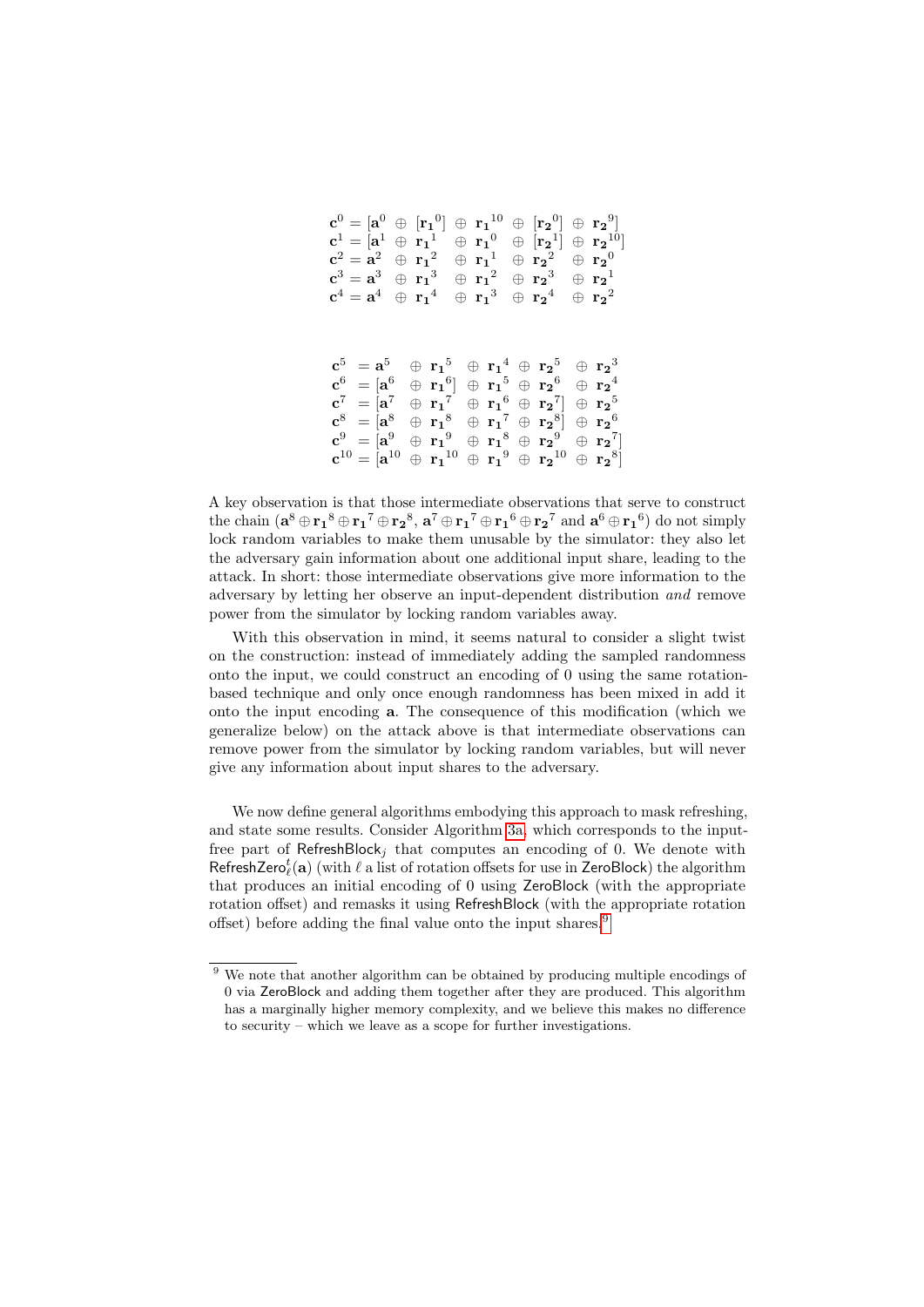| ${\bf c}^0 = [{\bf a}^0 \; \oplus \; [{\bf r_1}^0] \; \oplus \; {\bf r_1}^{10} \; \oplus \; [{\bf r_2}^0] \; \oplus \; {\bf r_2}^9]$<br>$c^1 = [a^1 \oplus r_1^1 \oplus r_1^0 \oplus [r_2^1] \oplus r_2^{10}]$<br>$c^2 = a^2 \oplus r_1^2 \oplus r_1^1 \oplus r_2^2 \oplus r_2^0$<br>$c^3 = a^3 \oplus r_1^3 \oplus r_1^2 \oplus r_2^3 \oplus r_2^1$<br>$c^4 = a^4 \oplus r_1^4 \oplus r_1^3 \oplus r_2^4 \oplus r_2^2$ |                                                                                                                                                       |  |  |                                      |
|-------------------------------------------------------------------------------------------------------------------------------------------------------------------------------------------------------------------------------------------------------------------------------------------------------------------------------------------------------------------------------------------------------------------------|-------------------------------------------------------------------------------------------------------------------------------------------------------|--|--|--------------------------------------|
| $c^5 = a^5$                                                                                                                                                                                                                                                                                                                                                                                                             | $\oplus$ r <sub>1</sub> <sup>5</sup> $\oplus$ r <sub>1</sub> <sup>4</sup> $\oplus$ r <sub>2</sub> <sup>5</sup> $\oplus$ r <sub>2</sub> <sup>3</sup>   |  |  |                                      |
| ${\bf c}^6 \!=\! [{\bf a}^6 \!]$<br>$c^7 = [a^7 \oplus r_1^7 \oplus r_1^6 \oplus r_2^7] \oplus r_2^5$                                                                                                                                                                                                                                                                                                                   | $\oplus$ r <sub>1</sub> <sup>6</sup> $\oplus$ r <sub>1</sub> <sup>5</sup> $\oplus$ r <sub>2</sub> <sup>6</sup> $\oplus$ r <sub>2</sub> <sup>4</sup>   |  |  |                                      |
| $c^8 = [a^8]$<br>$c^9 = a^9$                                                                                                                                                                                                                                                                                                                                                                                            | $\oplus$ $\mathbf{r_1}^8$ $\oplus$ $\mathbf{r_1}^7$ $\oplus$ $\mathbf{r_2}^8$                                                                         |  |  | $\oplus$ r <sub>2</sub> <sup>6</sup> |
| ${\bf c}^{10}=[{\bf a}^{10}\ \oplus\ {\bf r_1}^{10}\ \oplus\ {\bf r_1}^9\ \oplus\ {\bf r_2}^{10}\ \oplus\ {\bf r_2}^8]$                                                                                                                                                                                                                                                                                                 | $\oplus$ r <sub>1</sub> <sup>9</sup> $\oplus$ r <sub>1</sub> <sup>8</sup> $\oplus$ r <sub>2</sub> <sup>9</sup> $\oplus$ r <sub>2</sub> <sup>7</sup> ] |  |  |                                      |

A key observation is that those intermediate observations that serve to construct the chain  $(\mathbf{a}^8 \oplus \mathbf{r_1}^8 \oplus \mathbf{r_1}^7 \oplus \mathbf{r_2}^8, \mathbf{a}^7 \oplus \mathbf{r_1}^7 \oplus \mathbf{r_1}^6 \oplus \mathbf{r_2}^7,$  and  $\mathbf{a}^6 \oplus \mathbf{r_1}^6)$  do not simply lock random variables to make them unusable by the simulator: they also let the adversary gain information about one additional input share, leading to the attack. In short: those intermediate observations give more information to the adversary by letting her observe an input-dependent distribution and remove power from the simulator by locking random variables away.

With this observation in mind, it seems natural to consider a slight twist on the construction: instead of immediately adding the sampled randomness onto the input, we could construct an encoding of 0 using the same rotationbased technique and only once enough randomness has been mixed in add it onto the input encoding a. The consequence of this modification (which we generalize below) on the attack above is that intermediate observations can remove power from the simulator by locking random variables, but will never give any information about input shares to the adversary.

We now define general algorithms embodying this approach to mask refreshing, and state some results. Consider Algorithm [3a,](#page-14-0) which corresponds to the inputfree part of RefreshBlock<sub>j</sub> that computes an encoding of 0. We denote with  $\mathsf{RefreshZero}_\ell^\mathsf{t}(\mathbf{a})$  (with  $\ell$  a list of rotation offsets for use in ZeroBlock) the algorithm that produces an initial encoding of 0 using ZeroBlock (with the appropriate rotation offset) and remasks it using RefreshBlock (with the appropriate rotation offset) before adding the final value onto the input shares.<sup>[9](#page-13-0)</sup>

<span id="page-13-0"></span> $9$  We note that another algorithm can be obtained by producing multiple encodings of 0 via ZeroBlock and adding them together after they are produced. This algorithm has a marginally higher memory complexity, and we believe this makes no difference to security – which we leave as a scope for further investigations.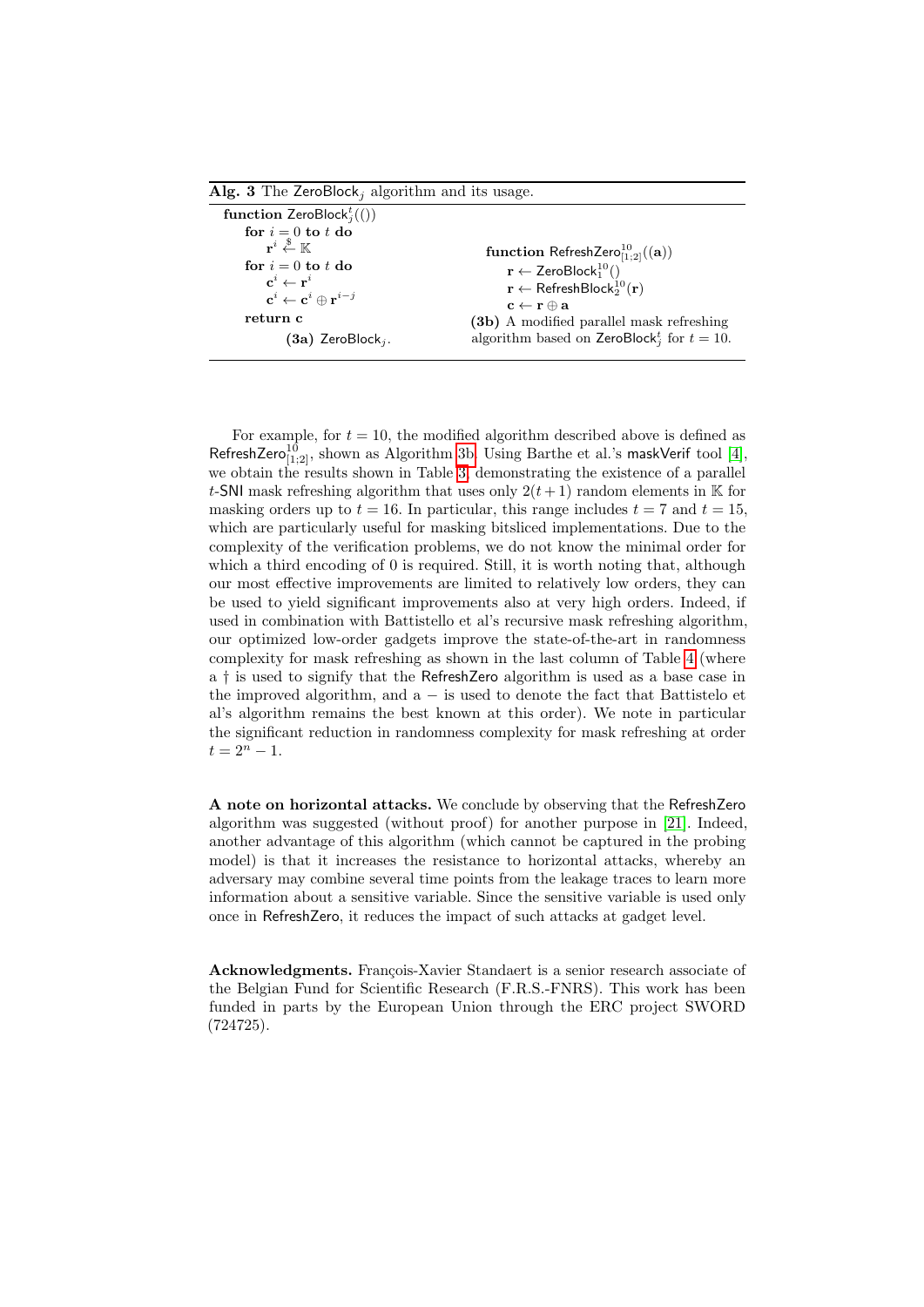| Alg. 3 The ZeroBlock <sub>i</sub> algorithm and its usage.                                                                                                                                                                                                                               |                                                                                                                                                                                                                                                                                                               |  |  |  |  |  |
|------------------------------------------------------------------------------------------------------------------------------------------------------------------------------------------------------------------------------------------------------------------------------------------|---------------------------------------------------------------------------------------------------------------------------------------------------------------------------------------------------------------------------------------------------------------------------------------------------------------|--|--|--|--|--|
| function ZeroBlock $i_i^t(()$<br>for $i=0$ to t do<br>$\mathbf{r}^i \overset{\$}{\leftarrow} \mathbb{K}$<br>for $i=0$ to t do<br>$\mathbf{c}^i \leftarrow \mathbf{r}^i$<br>$\mathbf{c}^i \leftarrow \mathbf{c}^i \oplus \mathbf{r}^{i-j}$<br>return c<br>$(3a)$ ZeroBlock <sub>i</sub> . | function RefreshZero ${}^{10}_{[1;2]}$ ((a))<br>$\mathbf{r} \leftarrow$ ZeroBlock $_1^{10}()$<br>$\mathbf{r} \leftarrow$ RefreshBlock $_2^{10}(\mathbf{r})$<br>$c \leftarrow r \oplus a$<br>(3b) A modified parallel mask refreshing<br>algorithm based on ZeroBlock <sup>t</sup> <sub>i</sub> for $t = 10$ . |  |  |  |  |  |
|                                                                                                                                                                                                                                                                                          |                                                                                                                                                                                                                                                                                                               |  |  |  |  |  |

<span id="page-14-1"></span><span id="page-14-0"></span>For example, for  $t = 10$ , the modified algorithm described above is defined as RefreshZero $^{10}_{[1;2]}$ , shown as Algorithm [3b.](#page-14-1) Using Barthe et al.'s maskVerif tool [\[4\]](#page-17-5), we obtain the results shown in Table [3,](#page-15-0) demonstrating the existence of a parallel t-SNI mask refreshing algorithm that uses only  $2(t+1)$  random elements in K for masking orders up to  $t = 16$ . In particular, this range includes  $t = 7$  and  $t = 15$ , which are particularly useful for masking bitsliced implementations. Due to the complexity of the verification problems, we do not know the minimal order for which a third encoding of 0 is required. Still, it is worth noting that, although our most effective improvements are limited to relatively low orders, they can be used to yield significant improvements also at very high orders. Indeed, if used in combination with Battistello et al's recursive mask refreshing algorithm, our optimized low-order gadgets improve the state-of-the-art in randomness complexity for mask refreshing as shown in the last column of Table [4](#page-16-0) (where a † is used to signify that the RefreshZero algorithm is used as a base case in the improved algorithm, and  $a - i s$  used to denote the fact that Battistelo et al's algorithm remains the best known at this order). We note in particular the significant reduction in randomness complexity for mask refreshing at order  $t = 2^n - 1.$ 

A note on horizontal attacks. We conclude by observing that the RefreshZero algorithm was suggested (without proof) for another purpose in [\[21\]](#page-18-10). Indeed, another advantage of this algorithm (which cannot be captured in the probing model) is that it increases the resistance to horizontal attacks, whereby an adversary may combine several time points from the leakage traces to learn more information about a sensitive variable. Since the sensitive variable is used only once in RefreshZero, it reduces the impact of such attacks at gadget level.

Acknowledgments. François-Xavier Standaert is a senior research associate of the Belgian Fund for Scientific Research (F.R.S.-FNRS). This work has been funded in parts by the European Union through the ERC project SWORD (724725).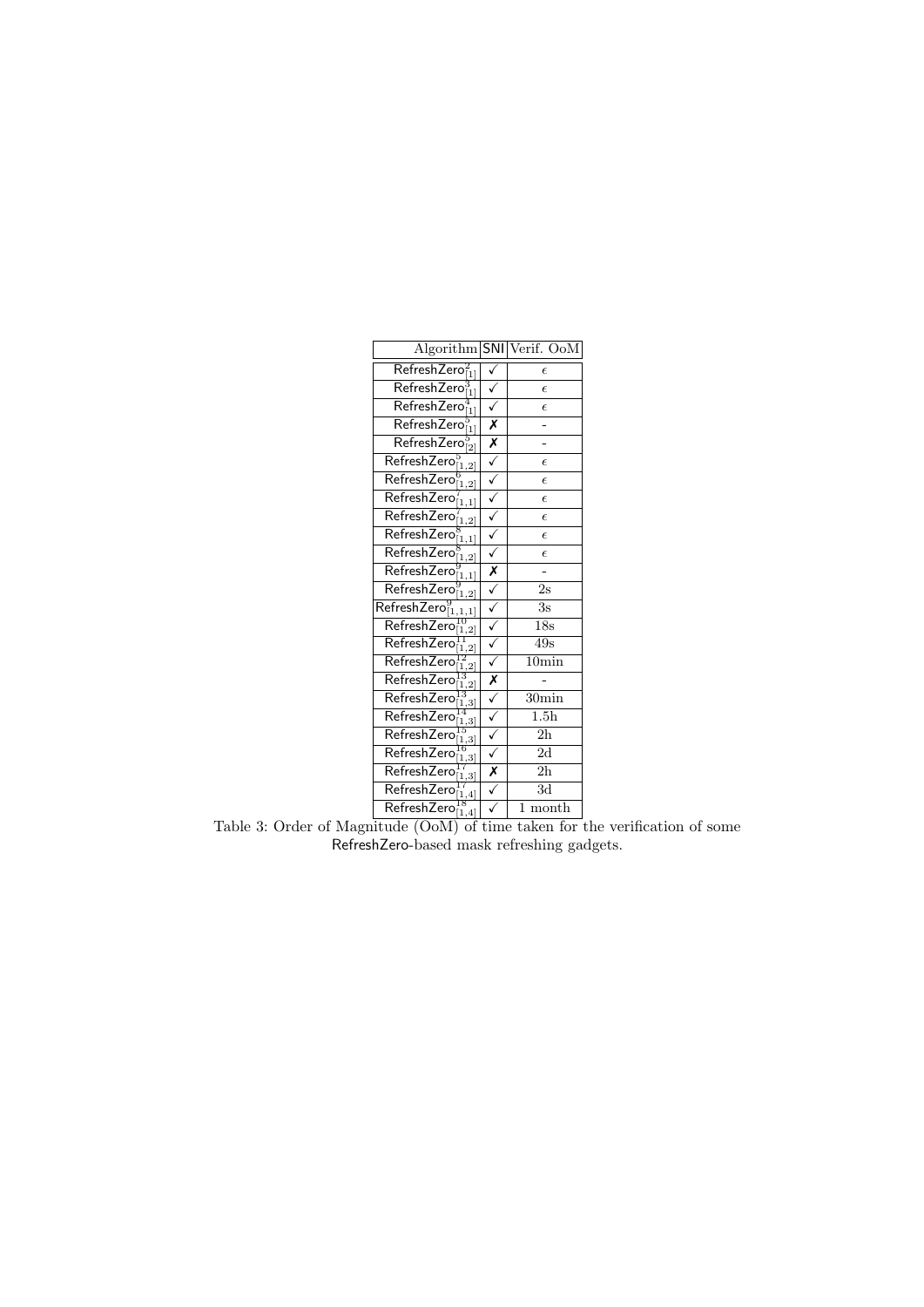<span id="page-15-0"></span>

| Algorithm                                          |   | SNI Verif. OoM        |
|----------------------------------------------------|---|-----------------------|
| $\overline{\mathsf{RefreshZero}}^2_{[1]}$          |   | $\epsilon$            |
| RefreshZero                                        |   | $\epsilon$            |
| RefreshZero                                        |   | $\epsilon$            |
| RefreshZero<br>٠ī.                                 | Х |                       |
| $\overline{\mathsf{RefreshZero}}^\mathsf{b}_{[2]}$ | Х |                       |
| $\mathsf{RefreshZero}^5$<br>[1, 2]                 |   | $\epsilon$            |
| RefreshZero                                        |   | $\epsilon$            |
| RefreshZero<br>1.1                                 |   | $\epsilon$            |
| RefreshZero<br>1.2                                 |   | $\epsilon$            |
| RefreshZero<br>$\left[1,1\right]$                  |   | $\epsilon$            |
| RefreshZero<br>1,2                                 |   | $\epsilon$            |
| RefreshZero<br>[1,1]                               | Х |                       |
| g<br>RefreshZero<br>1,2                            |   | 2s                    |
| RefreshZero<br>1.1                                 |   | 3s                    |
| RefreshZero                                        |   | 18s                   |
| RefreshZero                                        |   | 49s                   |
| RefreshZero                                        |   | 10 <sub>min</sub>     |
| RefreshZero                                        | Х |                       |
| RefreshZero                                        |   | $30\text{min}$        |
| 14<br>RefreshZero                                  |   | 1.5 <sub>h</sub>      |
| RefreshZero                                        |   | 2h                    |
| Г6<br>RefreshZero<br>.3                            |   | 2d                    |
| RefreshZero<br>1.3                                 | Х | 2h                    |
| RefreshZero                                        |   | 3d                    |
| Г8<br>RefreshZero<br>1,4]                          |   | 1<br>$\mathrm{month}$ |

Table 3: Order of Magnitude (OoM) of time taken for the verification of some RefreshZero-based mask refreshing gadgets.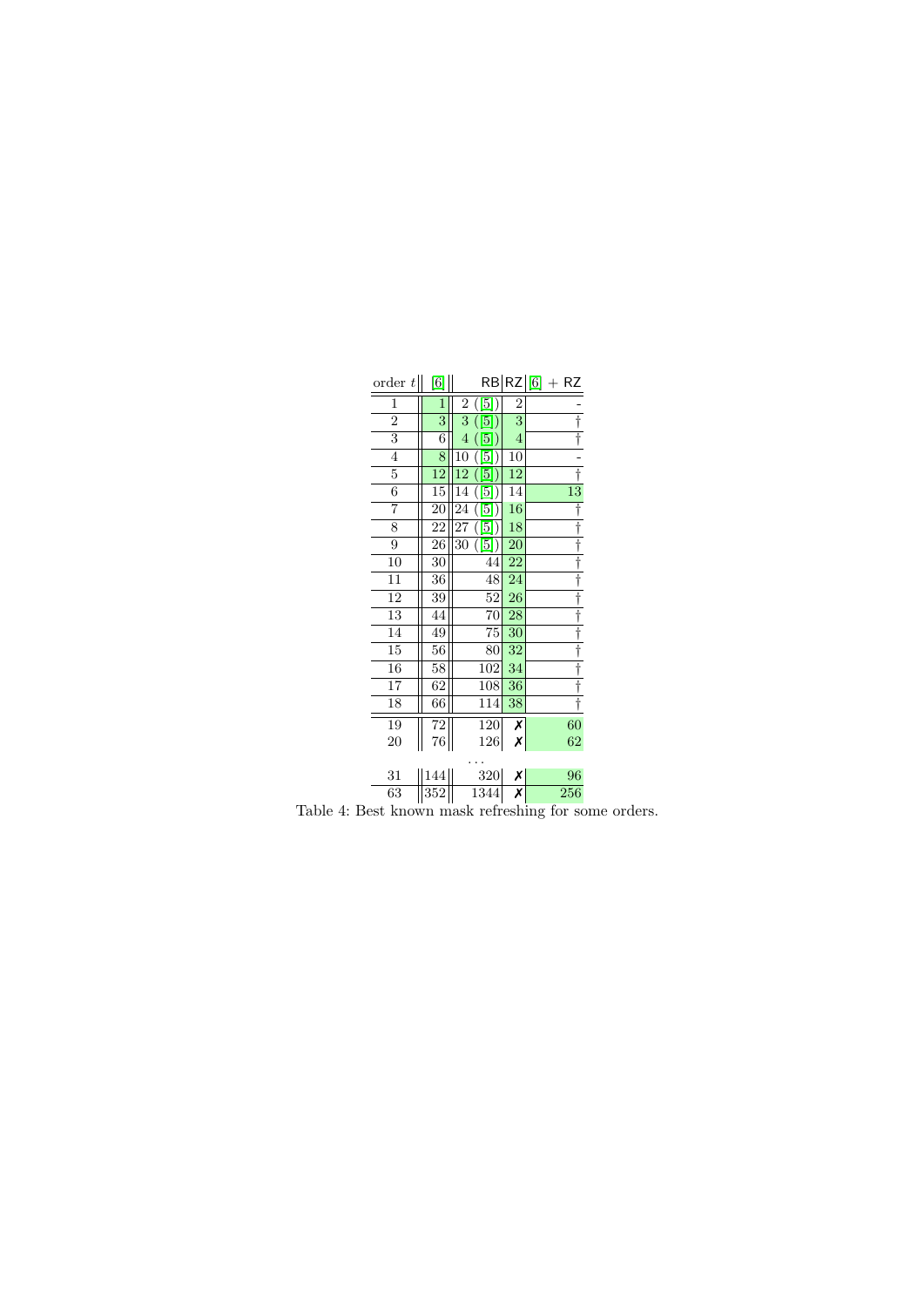<span id="page-16-0"></span>

| order $t$       | [6]              |                                                    |                  | $RB RZ [6] + RZ$     |
|-----------------|------------------|----------------------------------------------------|------------------|----------------------|
| 1               | $\mathbf{1}$     | $\overline{c}$<br>$\left( \left[ 5\right] \right)$ | $\overline{c}$   |                      |
| $\overline{2}$  | 3                | $\overline{3}$<br>([5])                            | $\sqrt{3}$       |                      |
| $\overline{3}$  | $\overline{6}$   | ([5])<br>$\overline{4}$                            | $\overline{4}$   | $\frac{1}{1}$        |
| $\overline{4}$  | 8                | ([5])<br>10                                        | 10               |                      |
| $\overline{5}$  | $\overline{12}$  | 12<br>$\overline{([5]]}$                           | $12\overline{)}$ | $\overline{\dagger}$ |
| 6               | $\overline{15}$  | $(\overline{[5]})$<br>14                           | 14               | $\overline{13}$      |
| $\overline{7}$  | <b>20</b>        | $\overline{(\vert 5\vert)}$<br>24                  | 16               | $\dagger$            |
| 8               | 22               | 27<br>[5]                                          | 18               |                      |
| $\overline{9}$  | $\overline{26}$  | $\overline{3}0$<br>$\overline{(\vert 5\vert)}$     | 20               |                      |
| $\overline{10}$ | $\overline{30}$  | 44                                                 | 22               |                      |
| 11              | 36               | 48                                                 | 24               |                      |
| $\overline{12}$ | 39               | $\overline{52}$                                    | <b>26</b>        |                      |
| $\overline{13}$ | 44               | $\overline{70}$                                    | 28               |                      |
| 14              | 49               | $\overline{75}$                                    | 30               |                      |
| 15              | $\overline{56}$  | 80                                                 | 32               |                      |
| $\overline{16}$ | $\overline{58}$  | 102                                                | 34               |                      |
| $\overline{17}$ | $\overline{62}$  | 108                                                | 36               |                      |
| 18              | 66               | 114                                                | 38               |                      |
| 19              | $\overline{72}$  | 120                                                | Х                | 60                   |
| 20              | 76               | 126                                                | X                | 62                   |
|                 |                  |                                                    |                  |                      |
| 31              | 144              | 320                                                | х                | 96                   |
| 63              | $\overline{352}$ | 1344                                               | Х                | 256                  |

Table 4: Best known mask refreshing for some orders.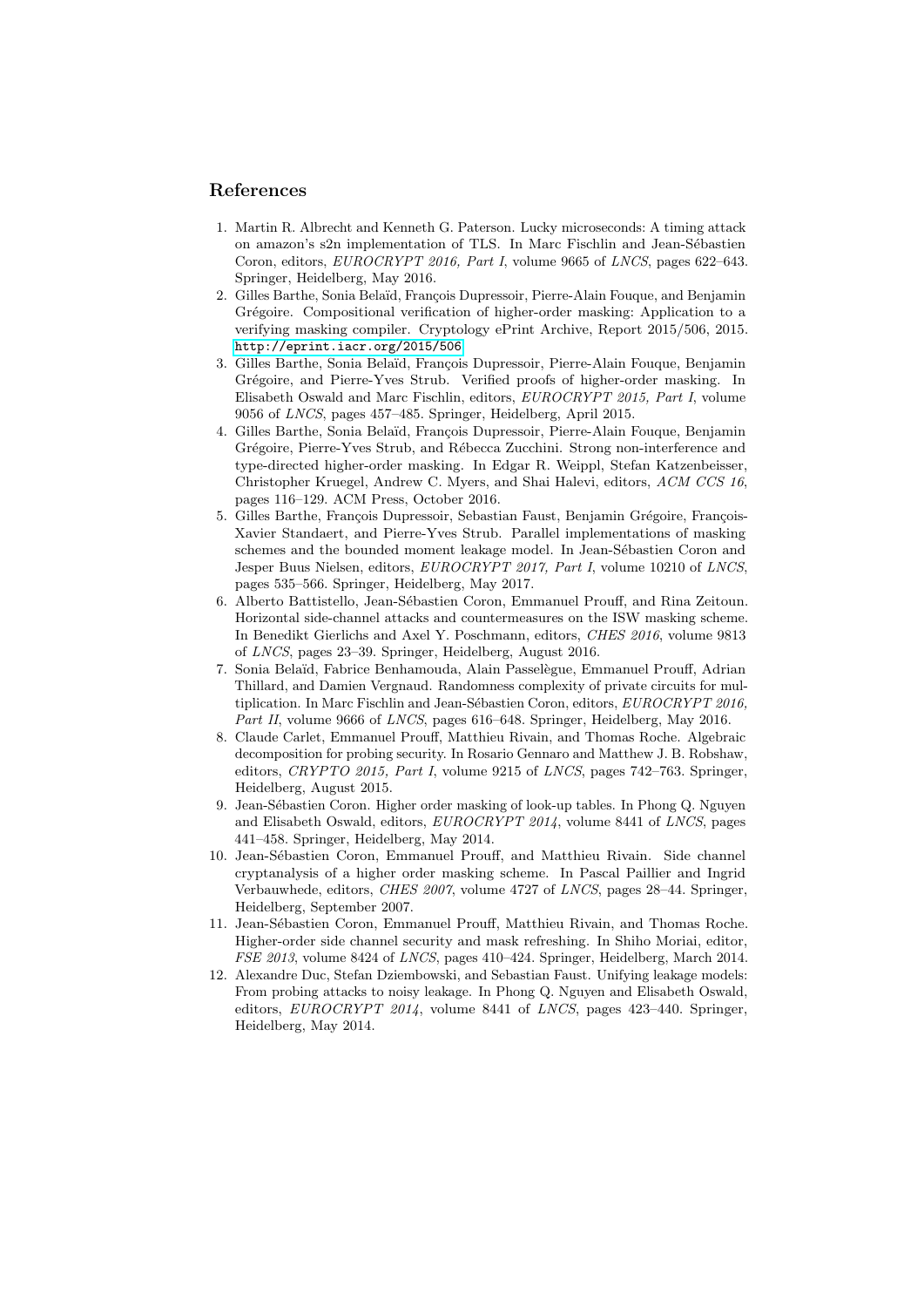## References

- <span id="page-17-0"></span>1. Martin R. Albrecht and Kenneth G. Paterson. Lucky microseconds: A timing attack on amazon's s2n implementation of TLS. In Marc Fischlin and Jean-Sébastien Coron, editors, EUROCRYPT 2016, Part I, volume 9665 of LNCS, pages 622–643. Springer, Heidelberg, May 2016.
- <span id="page-17-9"></span>2. Gilles Barthe, Sonia Belaïd, François Dupressoir, Pierre-Alain Fouque, and Benjamin Grégoire. Compositional verification of higher-order masking: Application to a verifying masking compiler. Cryptology ePrint Archive, Report 2015/506, 2015. <http://eprint.iacr.org/2015/506>.
- <span id="page-17-6"></span>3. Gilles Barthe, Sonia Belaïd, François Dupressoir, Pierre-Alain Fouque, Benjamin Grégoire, and Pierre-Yves Strub. Verified proofs of higher-order masking. In Elisabeth Oswald and Marc Fischlin, editors, EUROCRYPT 2015, Part I, volume 9056 of LNCS, pages 457–485. Springer, Heidelberg, April 2015.
- <span id="page-17-5"></span>4. Gilles Barthe, Sonia Belaïd, François Dupressoir, Pierre-Alain Fouque, Benjamin Grégoire, Pierre-Yves Strub, and Rébecca Zucchini. Strong non-interference and type-directed higher-order masking. In Edgar R. Weippl, Stefan Katzenbeisser, Christopher Kruegel, Andrew C. Myers, and Shai Halevi, editors, ACM CCS 16, pages 116–129. ACM Press, October 2016.
- <span id="page-17-1"></span>5. Gilles Barthe, François Dupressoir, Sebastian Faust, Benjamin Grégoire, François-Xavier Standaert, and Pierre-Yves Strub. Parallel implementations of masking schemes and the bounded moment leakage model. In Jean-Sébastien Coron and Jesper Buus Nielsen, editors, EUROCRYPT 2017, Part I, volume 10210 of LNCS, pages 535–566. Springer, Heidelberg, May 2017.
- <span id="page-17-8"></span>6. Alberto Battistello, Jean-Sébastien Coron, Emmanuel Prouff, and Rina Zeitoun. Horizontal side-channel attacks and countermeasures on the ISW masking scheme. In Benedikt Gierlichs and Axel Y. Poschmann, editors, CHES 2016, volume 9813 of LNCS, pages 23–39. Springer, Heidelberg, August 2016.
- <span id="page-17-7"></span>7. Sonia Belaïd, Fabrice Benhamouda, Alain Passelègue, Emmanuel Prouff, Adrian Thillard, and Damien Vergnaud. Randomness complexity of private circuits for multiplication. In Marc Fischlin and Jean-Sébastien Coron, editors,  $EUROCRYPT$  2016, Part II, volume 9666 of LNCS, pages 616–648. Springer, Heidelberg, May 2016.
- <span id="page-17-10"></span>8. Claude Carlet, Emmanuel Prouff, Matthieu Rivain, and Thomas Roche. Algebraic decomposition for probing security. In Rosario Gennaro and Matthew J. B. Robshaw, editors, CRYPTO 2015, Part I, volume 9215 of LNCS, pages 742–763. Springer, Heidelberg, August 2015.
- <span id="page-17-11"></span>9. Jean-Sébastien Coron. Higher order masking of look-up tables. In Phong Q. Nguyen and Elisabeth Oswald, editors, EUROCRYPT 2014, volume 8441 of LNCS, pages 441–458. Springer, Heidelberg, May 2014.
- <span id="page-17-3"></span>10. Jean-S´ebastien Coron, Emmanuel Prouff, and Matthieu Rivain. Side channel cryptanalysis of a higher order masking scheme. In Pascal Paillier and Ingrid Verbauwhede, editors, CHES 2007, volume 4727 of LNCS, pages 28–44. Springer, Heidelberg, September 2007.
- <span id="page-17-4"></span>11. Jean-Sébastien Coron, Emmanuel Prouff, Matthieu Rivain, and Thomas Roche. Higher-order side channel security and mask refreshing. In Shiho Moriai, editor, FSE 2013, volume 8424 of LNCS, pages 410–424. Springer, Heidelberg, March 2014.
- <span id="page-17-2"></span>12. Alexandre Duc, Stefan Dziembowski, and Sebastian Faust. Unifying leakage models: From probing attacks to noisy leakage. In Phong Q. Nguyen and Elisabeth Oswald, editors,  $EUROCRYPT 2014$ , volume 8441 of *LNCS*, pages 423–440. Springer, Heidelberg, May 2014.